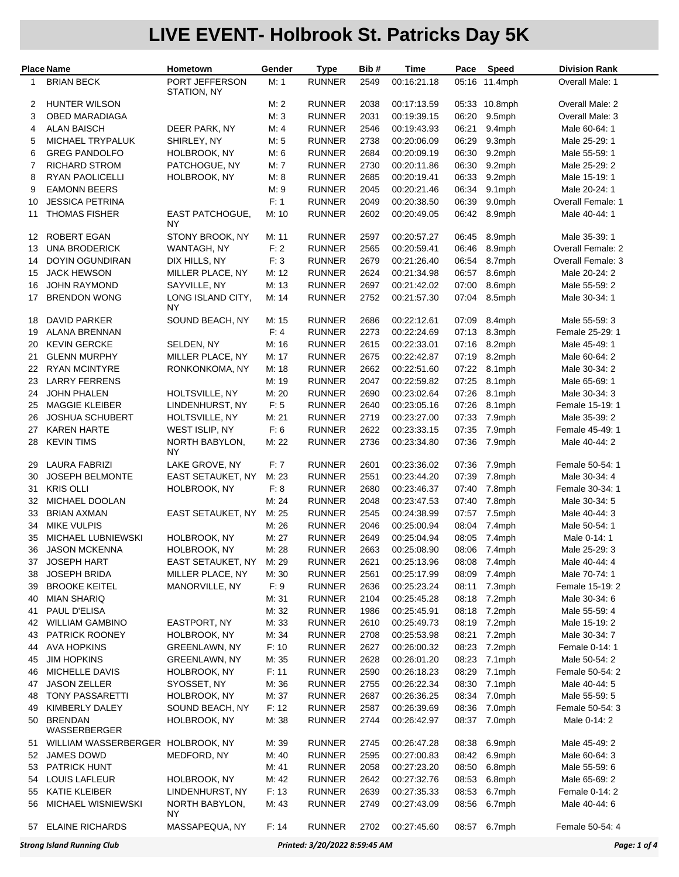|    | <b>Place Name</b>                 | Hometown                      | Gender | <b>Type</b>   | Bib# | Time        | Pace  | Speed         | <b>Division Rank</b> |
|----|-----------------------------------|-------------------------------|--------|---------------|------|-------------|-------|---------------|----------------------|
| 1  | <b>BRIAN BECK</b>                 | PORT JEFFERSON<br>STATION, NY | M: 1   | <b>RUNNER</b> | 2549 | 00:16:21.18 |       | 05:16 11.4mph | Overall Male: 1      |
| 2  | <b>HUNTER WILSON</b>              |                               | M: 2   | <b>RUNNER</b> | 2038 | 00:17:13.59 |       | 05:33 10.8mph | Overall Male: 2      |
| 3  | OBED MARADIAGA                    |                               | M: 3   | <b>RUNNER</b> | 2031 | 00:19:39.15 | 06:20 | 9.5mph        | Overall Male: 3      |
| 4  | <b>ALAN BAISCH</b>                | DEER PARK, NY                 | M: 4   | <b>RUNNER</b> | 2546 | 00:19:43.93 | 06:21 | 9.4mph        | Male 60-64: 1        |
| 5  | MICHAEL TRYPALUK                  | SHIRLEY, NY                   | M: 5   | <b>RUNNER</b> | 2738 | 00:20:06.09 | 06:29 | 9.3mph        | Male 25-29: 1        |
| 6  | <b>GREG PANDOLFO</b>              | HOLBROOK, NY                  | M: 6   | <b>RUNNER</b> | 2684 | 00:20:09.19 | 06:30 | 9.2mph        | Male 55-59: 1        |
| 7  | <b>RICHARD STROM</b>              | PATCHOGUE, NY                 | M: 7   | <b>RUNNER</b> | 2730 | 00:20:11.86 | 06:30 | 9.2mph        | Male 25-29: 2        |
| 8  | <b>RYAN PAOLICELLI</b>            | HOLBROOK, NY                  | M: 8   | <b>RUNNER</b> | 2685 | 00:20:19.41 | 06:33 | 9.2mph        | Male 15-19: 1        |
| 9  | <b>EAMONN BEERS</b>               |                               | M:9    | <b>RUNNER</b> | 2045 | 00:20:21.46 | 06:34 | 9.1mph        | Male 20-24: 1        |
| 10 | <b>JESSICA PETRINA</b>            |                               | F: 1   | <b>RUNNER</b> | 2049 | 00:20:38.50 | 06:39 | 9.0mph        | Overall Female: 1    |
| 11 | <b>THOMAS FISHER</b>              | <b>EAST PATCHOGUE.</b><br>NY  | M: 10  | <b>RUNNER</b> | 2602 | 00:20:49.05 | 06:42 | 8.9mph        | Male 40-44: 1        |
| 12 | ROBERT EGAN                       | STONY BROOK, NY               | M: 11  | <b>RUNNER</b> | 2597 | 00:20:57.27 | 06:45 | 8.9mph        | Male 35-39: 1        |
| 13 | <b>UNA BRODERICK</b>              | WANTAGH, NY                   | F: 2   | <b>RUNNER</b> | 2565 | 00:20:59.41 | 06:46 | 8.9mph        | Overall Female: 2    |
| 14 | <b>DOYIN OGUNDIRAN</b>            | DIX HILLS, NY                 | F: 3   | <b>RUNNER</b> | 2679 | 00:21:26.40 | 06:54 | 8.7mph        | Overall Female: 3    |
| 15 | <b>JACK HEWSON</b>                | MILLER PLACE, NY              | M: 12  | <b>RUNNER</b> | 2624 | 00:21:34.98 | 06:57 | 8.6mph        | Male 20-24: 2        |
| 16 | <b>JOHN RAYMOND</b>               | SAYVILLE, NY                  | M: 13  | <b>RUNNER</b> | 2697 | 00:21:42.02 | 07:00 | 8.6mph        | Male 55-59: 2        |
| 17 | <b>BRENDON WONG</b>               | LONG ISLAND CITY,<br>ΝY       | M: 14  | <b>RUNNER</b> | 2752 | 00:21:57.30 | 07:04 | 8.5mph        | Male 30-34: 1        |
| 18 | <b>DAVID PARKER</b>               | SOUND BEACH, NY               | M: 15  | <b>RUNNER</b> | 2686 | 00:22:12.61 | 07:09 | 8.4mph        | Male 55-59: 3        |
| 19 | ALANA BRENNAN                     |                               | F: 4   | <b>RUNNER</b> | 2273 | 00:22:24.69 | 07:13 | 8.3mph        | Female 25-29: 1      |
| 20 | <b>KEVIN GERCKE</b>               | SELDEN, NY                    | M: 16  | <b>RUNNER</b> | 2615 | 00:22:33.01 | 07:16 | 8.2mph        | Male 45-49: 1        |
| 21 | <b>GLENN MURPHY</b>               | MILLER PLACE, NY              | M: 17  | <b>RUNNER</b> | 2675 | 00:22:42.87 | 07:19 | 8.2mph        | Male 60-64: 2        |
| 22 | <b>RYAN MCINTYRE</b>              | RONKONKOMA, NY                | M: 18  | <b>RUNNER</b> | 2662 | 00:22:51.60 | 07:22 | 8.1mph        | Male 30-34: 2        |
| 23 | <b>LARRY FERRENS</b>              |                               | M: 19  | <b>RUNNER</b> | 2047 | 00:22:59.82 | 07:25 | 8.1mph        | Male 65-69: 1        |
| 24 | <b>JOHN PHALEN</b>                | HOLTSVILLE, NY                | M: 20  | <b>RUNNER</b> | 2690 | 00:23:02.64 | 07:26 | 8.1mph        | Male 30-34: 3        |
| 25 | <b>MAGGIE KLEIBER</b>             | LINDENHURST, NY               | F: 5   | <b>RUNNER</b> | 2640 | 00:23:05.16 | 07:26 | 8.1mph        | Female 15-19: 1      |
| 26 | <b>JOSHUA SCHUBERT</b>            | HOLTSVILLE, NY                | M: 21  | <b>RUNNER</b> | 2719 | 00:23:27.00 | 07:33 | 7.9mph        | Male 35-39: 2        |
| 27 | <b>KAREN HARTE</b>                | WEST ISLIP, NY                | F: 6   | <b>RUNNER</b> | 2622 | 00:23:33.15 | 07:35 | 7.9mph        | Female 45-49: 1      |
| 28 | <b>KEVIN TIMS</b>                 | NORTH BABYLON,<br>ΝY          | M: 22  | <b>RUNNER</b> | 2736 | 00:23:34.80 | 07:36 | 7.9mph        | Male 40-44: 2        |
| 29 | <b>LAURA FABRIZI</b>              | LAKE GROVE, NY                | F: 7   | <b>RUNNER</b> | 2601 | 00:23:36.02 | 07:36 | 7.9mph        | Female 50-54: 1      |
| 30 | <b>JOSEPH BELMONTE</b>            | EAST SETAUKET, NY             | M: 23  | <b>RUNNER</b> | 2551 | 00:23:44.20 | 07:39 | 7.8mph        | Male 30-34: 4        |
| 31 | <b>KRIS OLLI</b>                  | HOLBROOK, NY                  | F: 8   | <b>RUNNER</b> | 2680 | 00:23:46.37 | 07:40 | 7.8mph        | Female 30-34: 1      |
| 32 | MICHAEL DOOLAN                    |                               | M: 24  | <b>RUNNER</b> | 2048 | 00:23:47.53 | 07:40 | 7.8mph        | Male 30-34: 5        |
| 33 | <b>BRIAN AXMAN</b>                | EAST SETAUKET, NY             | M: 25  | <b>RUNNER</b> | 2545 | 00:24:38.99 | 07:57 | 7.5mph        | Male 40-44: 3        |
| 34 | <b>MIKE VULPIS</b>                |                               | M: 26  | <b>RUNNER</b> | 2046 | 00:25:00.94 | 08:04 | 7.4mph        | Male 50-54: 1        |
| 35 | MICHAEL LUBNIEWSKI                | HOLBROOK, NY                  | M: 27  | <b>RUNNER</b> | 2649 | 00:25:04.94 | 08:05 | 7.4mph        | Male 0-14: 1         |
| 36 | <b>JASON MCKENNA</b>              | HOLBROOK, NY                  | M: 28  | <b>RUNNER</b> | 2663 | 00:25:08.90 | 08:06 | 7.4mph        | Male 25-29: 3        |
| 37 | <b>JOSEPH HART</b>                | EAST SETAUKET, NY             | M: 29  | <b>RUNNER</b> | 2621 | 00:25:13.96 |       | 08:08 7.4mph  | Male 40-44: 4        |
| 38 | <b>JOSEPH BRIDA</b>               | MILLER PLACE, NY              | M: 30  | <b>RUNNER</b> | 2561 | 00:25:17.99 | 08:09 | 7.4mph        | Male 70-74: 1        |
| 39 | <b>BROOKE KEITEL</b>              | MANORVILLE, NY                | F: 9   | <b>RUNNER</b> | 2636 | 00:25:23.24 | 08:11 | 7.3mph        | Female 15-19: 2      |
| 40 | MIAN SHARIQ                       |                               | M: 31  | <b>RUNNER</b> | 2104 | 00:25:45.28 | 08:18 | 7.2mph        | Male 30-34: 6        |
| 41 | PAUL D'ELISA                      |                               | M: 32  | <b>RUNNER</b> | 1986 | 00:25:45.91 | 08:18 | 7.2mph        | Male 55-59: 4        |
| 42 | <b>WILLIAM GAMBINO</b>            | EASTPORT, NY                  | M: 33  | <b>RUNNER</b> | 2610 | 00:25:49.73 | 08:19 | 7.2mph        | Male 15-19: 2        |
| 43 | <b>PATRICK ROONEY</b>             | HOLBROOK, NY                  | M: 34  | <b>RUNNER</b> | 2708 | 00:25:53.98 | 08:21 | 7.2mph        | Male 30-34: 7        |
| 44 | <b>AVA HOPKINS</b>                | <b>GREENLAWN, NY</b>          | F: 10  | <b>RUNNER</b> | 2627 | 00:26:00.32 | 08:23 | 7.2mph        | Female 0-14: 1       |
| 45 | <b>JIM HOPKINS</b>                | <b>GREENLAWN, NY</b>          | M: 35  | <b>RUNNER</b> | 2628 | 00:26:01.20 | 08:23 | 7.1mph        | Male 50-54: 2        |
| 46 | MICHELLE DAVIS                    | HOLBROOK, NY                  | F: 11  | <b>RUNNER</b> | 2590 | 00:26:18.23 | 08:29 | 7.1mph        | Female 50-54: 2      |
| 47 | <b>JASON ZELLER</b>               | SYOSSET, NY                   | M: 36  | <b>RUNNER</b> | 2755 | 00:26:22.34 | 08:30 | 7.1mph        | Male 40-44: 5        |
| 48 | <b>TONY PASSARETTI</b>            | HOLBROOK, NY                  | M: 37  | <b>RUNNER</b> | 2687 | 00:26:36.25 | 08:34 | 7.0mph        | Male 55-59: 5        |
| 49 | KIMBERLY DALEY                    | SOUND BEACH, NY               | F: 12  | <b>RUNNER</b> | 2587 | 00:26:39.69 | 08:36 | 7.0mph        | Female 50-54: 3      |
| 50 | <b>BRENDAN</b><br>WASSERBERGER    | HOLBROOK, NY                  | M: 38  | <b>RUNNER</b> | 2744 | 00:26:42.97 | 08:37 | 7.0mph        | Male 0-14: 2         |
| 51 | WILLIAM WASSERBERGER HOLBROOK, NY |                               | M: 39  | <b>RUNNER</b> | 2745 | 00:26:47.28 | 08:38 | 6.9mph        | Male 45-49: 2        |
| 52 | JAMES DOWD                        | MEDFORD, NY                   | M: 40  | <b>RUNNER</b> | 2595 | 00:27:00.83 | 08:42 | 6.9mph        | Male 60-64: 3        |
| 53 | <b>PATRICK HUNT</b>               |                               | M: 41  | <b>RUNNER</b> | 2058 | 00:27:23.20 | 08:50 | 6.8mph        | Male 55-59: 6        |
| 54 | LOUIS LAFLEUR                     | HOLBROOK, NY                  | M: 42  | <b>RUNNER</b> | 2642 | 00:27:32.76 | 08:53 | 6.8mph        | Male 65-69: 2        |
| 55 | KATIE KLEIBER                     | LINDENHURST, NY               | F: 13  | <b>RUNNER</b> | 2639 | 00:27:35.33 | 08:53 | 6.7mph        | Female 0-14: 2       |
| 56 | MICHAEL WISNIEWSKI                | NORTH BABYLON,<br>ΝY          | M: 43  | <b>RUNNER</b> | 2749 | 00:27:43.09 | 08:56 | 6.7mph        | Male 40-44: 6        |
| 57 | <b>ELAINE RICHARDS</b>            | MASSAPEQUA, NY                | F: 14  | <b>RUNNER</b> | 2702 | 00:27:45.60 | 08:57 | 6.7mph        | Female 50-54: 4      |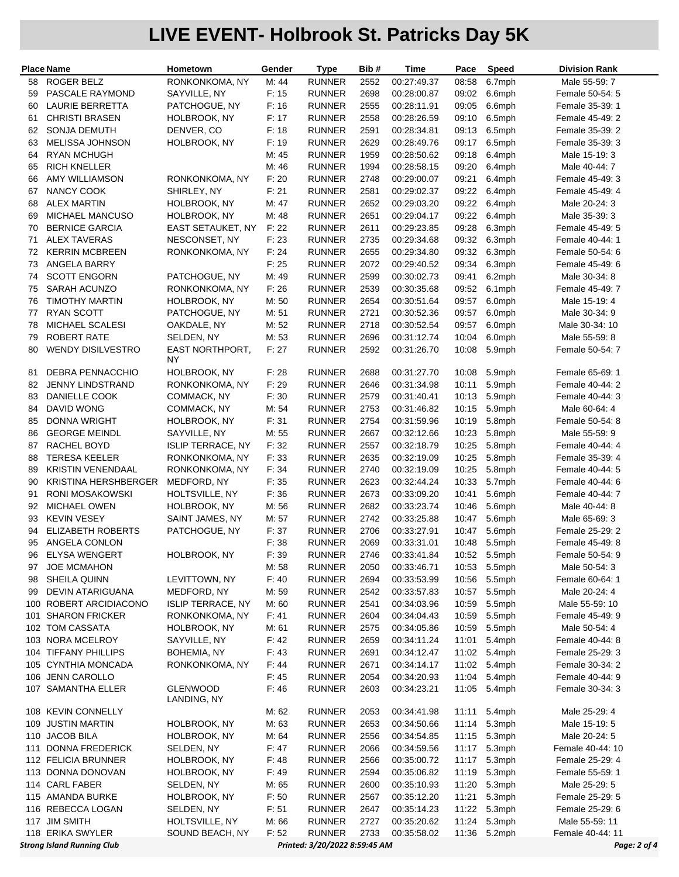|     | <b>Place Name</b>                 | Hometown                 | Gender | <b>Type</b>                   | Bib# | Time        | Pace  | <b>Speed</b> | <b>Division Rank</b> |
|-----|-----------------------------------|--------------------------|--------|-------------------------------|------|-------------|-------|--------------|----------------------|
| 58  | <b>ROGER BELZ</b>                 | RONKONKOMA, NY           | M: 44  | <b>RUNNER</b>                 | 2552 | 00:27:49.37 | 08:58 | 6.7mph       | Male 55-59: 7        |
| 59  | PASCALE RAYMOND                   | SAYVILLE, NY             | F: 15  | <b>RUNNER</b>                 | 2698 | 00:28:00.87 | 09:02 | 6.6mph       | Female 50-54: 5      |
| 60  | LAURIE BERRETTA                   | PATCHOGUE, NY            | F: 16  | <b>RUNNER</b>                 | 2555 | 00:28:11.91 | 09:05 | 6.6mph       | Female 35-39: 1      |
| 61  | <b>CHRISTI BRASEN</b>             | HOLBROOK, NY             | F: 17  | <b>RUNNER</b>                 | 2558 | 00:28:26.59 | 09:10 | 6.5mph       | Female 45-49: 2      |
| 62  | <b>SONJA DEMUTH</b>               | DENVER, CO               | F: 18  | <b>RUNNER</b>                 | 2591 | 00:28:34.81 | 09:13 | 6.5mph       | Female 35-39: 2      |
| 63  | MELISSA JOHNSON                   | HOLBROOK, NY             | F: 19  | <b>RUNNER</b>                 | 2629 | 00:28:49.76 | 09:17 | 6.5mph       | Female 35-39: 3      |
| 64  | <b>RYAN MCHUGH</b>                |                          | M: 45  | <b>RUNNER</b>                 | 1959 | 00:28:50.62 | 09:18 | 6.4mph       | Male 15-19: 3        |
| 65  | <b>RICH KNELLER</b>               |                          | M: 46  | <b>RUNNER</b>                 | 1994 | 00:28:58.15 | 09:20 | 6.4mph       | Male 40-44: 7        |
| 66  | <b>AMY WILLIAMSON</b>             | RONKONKOMA, NY           | F: 20  | <b>RUNNER</b>                 | 2748 | 00:29:00.07 | 09:21 | 6.4mph       | Female 45-49: 3      |
| 67  | NANCY COOK                        | SHIRLEY, NY              | F: 21  | <b>RUNNER</b>                 | 2581 | 00:29:02.37 | 09:22 | 6.4mph       | Female 45-49: 4      |
| 68  | <b>ALEX MARTIN</b>                | HOLBROOK, NY             | M: 47  | <b>RUNNER</b>                 | 2652 | 00:29:03.20 | 09:22 | 6.4mph       | Male 20-24: 3        |
| 69  | <b>MICHAEL MANCUSO</b>            | HOLBROOK, NY             | M: 48  | <b>RUNNER</b>                 | 2651 | 00:29:04.17 | 09:22 | 6.4mph       | Male 35-39: 3        |
| 70  | <b>BERNICE GARCIA</b>             | EAST SETAUKET, NY        | F: 22  | <b>RUNNER</b>                 | 2611 | 00:29:23.85 | 09:28 | 6.3mph       | Female 45-49: 5      |
| 71  | <b>ALEX TAVERAS</b>               | NESCONSET, NY            | F: 23  | <b>RUNNER</b>                 | 2735 | 00:29:34.68 | 09:32 | 6.3mph       | Female 40-44: 1      |
| 72  | <b>KERRIN MCBREEN</b>             | RONKONKOMA, NY           | F: 24  | <b>RUNNER</b>                 | 2655 | 00:29:34.80 | 09:32 | 6.3mph       | Female 50-54: 6      |
| 73  | ANGELA BARRY                      |                          | F: 25  | <b>RUNNER</b>                 | 2072 | 00:29:40.52 | 09:34 | 6.3mph       | Female 45-49: 6      |
| 74  | <b>SCOTT ENGORN</b>               | PATCHOGUE, NY            | M: 49  | <b>RUNNER</b>                 | 2599 | 00:30:02.73 | 09:41 | 6.2mph       | Male 30-34: 8        |
| 75  | <b>SARAH ACUNZO</b>               | RONKONKOMA, NY           | F: 26  | <b>RUNNER</b>                 | 2539 | 00:30:35.68 | 09:52 | 6.1mph       | Female 45-49: 7      |
| 76  | <b>TIMOTHY MARTIN</b>             | HOLBROOK, NY             | M: 50  | <b>RUNNER</b>                 | 2654 | 00:30:51.64 | 09:57 | 6.0mph       | Male 15-19: 4        |
| 77  | <b>RYAN SCOTT</b>                 | PATCHOGUE, NY            | M: 51  | <b>RUNNER</b>                 | 2721 | 00:30:52.36 | 09:57 | 6.0mph       | Male 30-34: 9        |
| 78  | MICHAEL SCALESI                   | OAKDALE, NY              | M: 52  | <b>RUNNER</b>                 | 2718 | 00:30:52.54 | 09:57 | 6.0mph       | Male 30-34: 10       |
| 79  | <b>ROBERT RATE</b>                | SELDEN, NY               | M: 53  | <b>RUNNER</b>                 | 2696 | 00:31:12.74 | 10:04 | 6.0mph       | Male 55-59: 8        |
| 80  | <b>WENDY DISILVESTRO</b>          | <b>EAST NORTHPORT,</b>   | F: 27  | <b>RUNNER</b>                 | 2592 | 00:31:26.70 | 10:08 | 5.9mph       | Female 50-54: 7      |
|     |                                   | ΝY                       |        |                               |      |             |       |              |                      |
| 81  | <b>DEBRA PENNACCHIO</b>           | HOLBROOK, NY             | F: 28  | <b>RUNNER</b>                 | 2688 | 00:31:27.70 | 10:08 | 5.9mph       | Female 65-69: 1      |
| 82  | <b>JENNY LINDSTRAND</b>           | RONKONKOMA, NY           | F: 29  | <b>RUNNER</b>                 | 2646 | 00:31:34.98 | 10:11 | 5.9mph       | Female 40-44: 2      |
| 83  | <b>DANIELLE COOK</b>              | COMMACK, NY              | F: 30  | <b>RUNNER</b>                 | 2579 | 00:31:40.41 | 10:13 | 5.9mph       | Female 40-44: 3      |
| 84  | <b>DAVID WONG</b>                 | COMMACK, NY              | M: 54  | <b>RUNNER</b>                 | 2753 | 00:31:46.82 | 10:15 | 5.9mph       | Male 60-64: 4        |
| 85  | <b>DONNA WRIGHT</b>               | HOLBROOK, NY             | F: 31  | <b>RUNNER</b>                 | 2754 | 00:31:59.96 | 10:19 | 5.8mph       | Female 50-54: 8      |
| 86  | <b>GEORGE MEINDL</b>              | SAYVILLE, NY             | M: 55  | <b>RUNNER</b>                 | 2667 | 00:32:12.66 | 10:23 | 5.8mph       | Male 55-59: 9        |
| 87  | RACHEL BOYD                       | <b>ISLIP TERRACE, NY</b> | F: 32  | <b>RUNNER</b>                 | 2557 | 00:32:18.79 | 10:25 | 5.8mph       | Female 40-44: 4      |
| 88  | <b>TERESA KEELER</b>              | RONKONKOMA, NY           | F: 33  | <b>RUNNER</b>                 | 2635 | 00:32:19.09 | 10:25 | 5.8mph       | Female 35-39: 4      |
| 89  | <b>KRISTIN VENENDAAL</b>          | RONKONKOMA, NY           | F: 34  | <b>RUNNER</b>                 | 2740 | 00:32:19.09 | 10:25 | 5.8mph       | Female 40-44: 5      |
| 90  | KRISTINA HERSHBERGER              | MEDFORD, NY              | F: 35  | <b>RUNNER</b>                 | 2623 | 00:32:44.24 | 10:33 | 5.7mph       | Female 40-44: 6      |
| 91  | RONI MOSAKOWSKI                   | HOLTSVILLE, NY           | F: 36  | <b>RUNNER</b>                 | 2673 | 00:33:09.20 | 10:41 | 5.6mph       | Female 40-44: 7      |
| 92  | <b>MICHAEL OWEN</b>               | HOLBROOK, NY             | M: 56  | <b>RUNNER</b>                 | 2682 | 00:33:23.74 | 10:46 | 5.6mph       | Male 40-44: 8        |
| 93  | <b>KEVIN VESEY</b>                | SAINT JAMES, NY          | M: 57  | <b>RUNNER</b>                 | 2742 | 00:33:25.88 | 10:47 | 5.6mph       | Male 65-69: 3        |
| 94  | <b>ELIZABETH ROBERTS</b>          | PATCHOGUE, NY            | F: 37  | <b>RUNNER</b>                 | 2706 | 00:33:27.91 | 10:47 | 5.6mph       | Female 25-29: 2      |
| 95  | ANGELA CONLON                     |                          | F: 38  | <b>RUNNER</b>                 | 2069 | 00:33:31.01 | 10:48 | 5.5mph       | Female 45-49: 8      |
|     | 96 ELYSA WENGERT                  | HOLBROOK, NY             | F: 39  | <b>RUNNER</b>                 | 2746 | 00:33:41.84 |       | 10:52 5.5mph | Female 50-54: 9      |
| 97  | <b>JOE MCMAHON</b>                |                          | M: 58  | <b>RUNNER</b>                 | 2050 | 00:33:46.71 |       | 10:53 5.5mph | Male 50-54: 3        |
| 98  | SHEILA QUINN                      | LEVITTOWN, NY            | F: 40  | <b>RUNNER</b>                 | 2694 | 00:33:53.99 | 10:56 | 5.5mph       | Female 60-64: 1      |
| 99  | DEVIN ATARIGUANA                  | MEDFORD, NY              | M: 59  | <b>RUNNER</b>                 | 2542 | 00:33:57.83 | 10:57 | 5.5mph       | Male 20-24: 4        |
|     | 100 ROBERT ARCIDIACONO            | <b>ISLIP TERRACE, NY</b> | M: 60  | <b>RUNNER</b>                 | 2541 | 00:34:03.96 | 10:59 | 5.5mph       | Male 55-59: 10       |
| 101 | <b>SHARON FRICKER</b>             | RONKONKOMA, NY           | F: 41  | <b>RUNNER</b>                 | 2604 | 00:34:04.43 | 10:59 | 5.5mph       | Female 45-49: 9      |
|     | 102 TOM CASSATA                   | HOLBROOK, NY             | M: 61  | <b>RUNNER</b>                 | 2575 | 00:34:05.86 | 10:59 | 5.5mph       | Male 50-54: 4        |
|     | 103 NORA MCELROY                  | SAYVILLE, NY             | F: 42  | <b>RUNNER</b>                 | 2659 | 00:34:11.24 | 11:01 | 5.4mph       | Female 40-44: 8      |
|     | 104 TIFFANY PHILLIPS              | BOHEMIA, NY              | F: 43  | <b>RUNNER</b>                 | 2691 | 00:34:12.47 | 11:02 | 5.4mph       | Female 25-29: 3      |
|     | 105 CYNTHIA MONCADA               | RONKONKOMA, NY           | F: 44  | <b>RUNNER</b>                 | 2671 | 00:34:14.17 |       | 11:02 5.4mph | Female 30-34: 2      |
|     | 106 JENN CAROLLO                  |                          | F: 45  | <b>RUNNER</b>                 | 2054 | 00:34:20.93 | 11:04 | 5.4mph       | Female 40-44: 9      |
|     | 107 SAMANTHA ELLER                | <b>GLENWOOD</b>          | F: 46  | <b>RUNNER</b>                 | 2603 | 00:34:23.21 | 11:05 | 5.4mph       | Female 30-34: 3      |
|     |                                   | LANDING, NY              |        |                               |      |             |       |              |                      |
|     | 108 KEVIN CONNELLY                |                          | M: 62  | <b>RUNNER</b>                 | 2053 | 00:34:41.98 | 11:11 | 5.4mph       | Male 25-29: 4        |
|     | 109 JUSTIN MARTIN                 | HOLBROOK, NY             | M: 63  | <b>RUNNER</b>                 | 2653 | 00:34:50.66 | 11:14 | 5.3mph       | Male 15-19: 5        |
|     | 110 JACOB BILA                    | HOLBROOK, NY             | M: 64  | <b>RUNNER</b>                 | 2556 | 00:34:54.85 | 11:15 | 5.3mph       | Male 20-24: 5        |
|     | 111 DONNA FREDERICK               | SELDEN, NY               | F: 47  | <b>RUNNER</b>                 | 2066 | 00:34:59.56 | 11:17 | 5.3mph       | Female 40-44: 10     |
|     | 112 FELICIA BRUNNER               | HOLBROOK, NY             | F: 48  | <b>RUNNER</b>                 | 2566 | 00:35:00.72 | 11:17 | 5.3mph       | Female 25-29: 4      |
|     | 113 DONNA DONOVAN                 | HOLBROOK, NY             | F: 49  | <b>RUNNER</b>                 | 2594 | 00:35:06.82 | 11:19 | 5.3mph       | Female 55-59: 1      |
|     | 114 CARL FABER                    | SELDEN, NY               | M: 65  | <b>RUNNER</b>                 | 2600 | 00:35:10.93 | 11:20 | 5.3mph       | Male 25-29: 5        |
|     | 115 AMANDA BURKE                  | HOLBROOK, NY             | F: 50  | <b>RUNNER</b>                 | 2567 | 00:35:12.20 | 11:21 | 5.3mph       | Female 25-29: 5      |
|     | 116 REBECCA LOGAN                 | SELDEN, NY               | F: 51  | <b>RUNNER</b>                 | 2647 | 00:35:14.23 | 11:22 | 5.3mph       | Female 25-29: 6      |
|     | 117 JIM SMITH                     | HOLTSVILLE, NY           | M: 66  | <b>RUNNER</b>                 | 2727 | 00:35:20.62 | 11:24 | 5.3mph       | Male 55-59: 11       |
|     | 118 ERIKA SWYLER                  | SOUND BEACH, NY          | F: 52  | <b>RUNNER</b>                 | 2733 | 00:35:58.02 | 11:36 | 5.2mph       | Female 40-44: 11     |
|     | <b>Strong Island Running Club</b> |                          |        | Printed: 3/20/2022 8:59:45 AM |      |             |       |              | Page: 2 of 4         |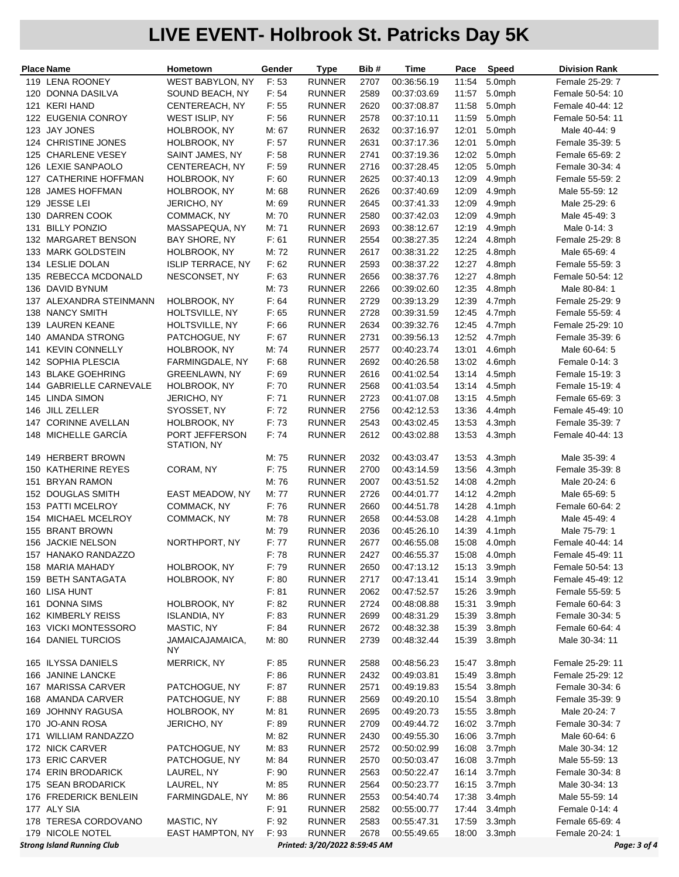| WEST BABYLON, NY<br>F:53<br><b>RUNNER</b><br>119 LENA ROONEY<br>2707<br>00:36:56.19<br>11:54<br>5.0mph<br>Female 25-29: 7<br>120 DONNA DASILVA<br>SOUND BEACH, NY<br>F: 54<br><b>RUNNER</b><br>2589<br>00:37:03.69<br>11:57<br>5.0mph<br>Female 50-54: 10<br>121 KERI HAND<br>CENTEREACH, NY<br>F: 55<br><b>RUNNER</b><br>2620<br>00:37:08.87<br>11:58<br>5.0mph<br>Female 40-44: 12<br>122 EUGENIA CONROY<br>F: 56<br><b>RUNNER</b><br>2578<br>00:37:10.11<br>11:59<br>5.0mph<br>WEST ISLIP, NY<br>Female 50-54: 11<br>123 JAY JONES<br>HOLBROOK, NY<br><b>RUNNER</b><br>2632<br>00:37:16.97<br>12:01<br>5.0mph<br>Male 40-44: 9<br>M: 67<br>2631<br>124 CHRISTINE JONES<br>HOLBROOK, NY<br>F: 57<br><b>RUNNER</b><br>00:37:17.36<br>12:01<br>5.0mph<br>Female 35-39: 5<br>125 CHARLENE VESEY<br>F: 58<br><b>RUNNER</b><br>2741<br>12:02<br>5.0mph<br>SAINT JAMES, NY<br>00:37:19.36<br>Female 65-69: 2<br>126 LEXIE SANPAOLO<br>CENTEREACH, NY<br>F: 59<br><b>RUNNER</b><br>2716<br>00:37:28.45<br>12:05<br>5.0mph<br>Female 30-34: 4<br>127 CATHERINE HOFFMAN<br>HOLBROOK, NY<br>F: 60<br><b>RUNNER</b><br>2625<br>00:37:40.13<br>12:09<br>4.9mph<br>Female 55-59: 2<br>128 JAMES HOFFMAN<br><b>RUNNER</b><br>2626<br>12:09<br>HOLBROOK, NY<br>M: 68<br>00:37:40.69<br>4.9mph<br>Male 55-59: 12<br>129 JESSE LEI<br>JERICHO, NY<br><b>RUNNER</b><br>2645<br>00:37:41.33<br>12:09<br>4.9mph<br>Male 25-29: 6<br>M: 69<br>130 DARREN COOK<br>COMMACK, NY<br>M: 70<br><b>RUNNER</b><br>2580<br>00:37:42.03<br>12:09<br>4.9mph<br>Male 45-49: 3<br>131 BILLY PONZIO<br><b>RUNNER</b><br>2693<br>12:19<br>MASSAPEQUA, NY<br>M: 71<br>00:38:12.67<br>4.9mph<br>Male 0-14: 3<br>132 MARGARET BENSON<br>BAY SHORE, NY<br>F: 61<br><b>RUNNER</b><br>2554<br>00:38:27.35<br>12:24<br>4.8mph<br>Female 25-29: 8<br>133 MARK GOLDSTEIN<br>M: 72<br><b>RUNNER</b><br>2617<br>00:38:31.22<br>12:25<br>4.8mph<br>HOLBROOK, NY<br>Male 65-69: 4<br>134 LESLIE DOLAN<br>F: 62<br><b>RUNNER</b><br>2593<br>12:27<br>4.8mph<br><b>ISLIP TERRACE, NY</b><br>00:38:37.22<br>Female 55-59: 3<br>135 REBECCA MCDONALD<br>NESCONSET, NY<br>F: 63<br><b>RUNNER</b><br>2656<br>00:38:37.76<br>12:27<br>4.8mph<br>Female 50-54: 12<br>136 DAVID BYNUM<br>M: 73<br><b>RUNNER</b><br>2266<br>00:39:02.60<br>12:35<br>4.8mph<br>Male 80-84: 1<br>137 ALEXANDRA STEINMANN<br>HOLBROOK, NY<br>F: 64<br><b>RUNNER</b><br>2729<br>12:39<br>00:39:13.29<br>4.7mph<br>Female 25-29: 9<br>138 NANCY SMITH<br>HOLTSVILLE, NY<br>F: 65<br><b>RUNNER</b><br>2728<br>00:39:31.59<br>12:45<br>4.7mph<br>Female 55-59: 4<br>139 LAUREN KEANE<br>HOLTSVILLE, NY<br>F:66<br><b>RUNNER</b><br>2634<br>00:39:32.76<br>4.7mph<br>12:45<br>Female 25-29: 10<br>140 AMANDA STRONG<br>PATCHOGUE, NY<br>F: 67<br><b>RUNNER</b><br>2731<br>12:52<br>00:39:56.13<br>4.7mph<br>Female 35-39: 6<br>141 KEVIN CONNELLY<br>HOLBROOK, NY<br>M: 74<br><b>RUNNER</b><br>2577<br>00:40:23.74<br>13:01<br>4.6mph<br>Male 60-64: 5<br>142 SOPHIA PLESCIA<br>FARMINGDALE, NY<br>F: 68<br><b>RUNNER</b><br>2692<br>00:40:26.58<br>13:02<br>4.6mph<br>Female 0-14: 3<br>143 BLAKE GOEHRING<br><b>RUNNER</b><br>2616<br><b>GREENLAWN, NY</b><br>F: 69<br>00:41:02.54<br>13:14<br>4.5mph<br>Female 15-19: 3<br>144 GABRIELLE CARNEVALE<br>HOLBROOK, NY<br><b>RUNNER</b><br>2568<br>00:41:03.54<br>4.5mph<br>F: 70<br>13:14<br>Female 15-19: 4<br>145 LINDA SIMON<br>JERICHO, NY<br>F: 71<br><b>RUNNER</b><br>2723<br>00:41:07.08<br>13:15<br>4.5mph<br>Female 65-69: 3<br>146 JILL ZELLER<br>F: 72<br><b>RUNNER</b><br>2756<br>13:36<br>4.4mph<br>SYOSSET, NY<br>00:42:12.53<br>Female 45-49: 10<br><b>CORINNE AVELLAN</b><br>HOLBROOK, NY<br>F: 73<br><b>RUNNER</b><br>2543<br>00:43:02.45<br>13:53<br>4.3mph<br>Female 35-39: 7<br>147<br>148 MICHELLE GARCÍA<br>PORT JEFFERSON<br>F: 74<br><b>RUNNER</b><br>2612<br>00:43:02.88<br>13:53<br>4.3mph<br>Female 40-44: 13<br>STATION, NY<br>149 HERBERT BROWN<br><b>RUNNER</b><br>00:43:03.47<br>Male 35-39: 4<br>M: 75<br>2032<br>13:53<br>4.3mph<br>150 KATHERINE REYES<br>CORAM, NY<br>F: 75<br><b>RUNNER</b><br>2700<br>00:43:14.59<br>13:56<br>4.3mph<br>Female 35-39: 8<br>151 BRYAN RAMON<br><b>RUNNER</b><br>2007<br>14:08<br>4.2mph<br>M: 76<br>00:43:51.52<br>Male 20-24: 6<br>152 DOUGLAS SMITH<br>EAST MEADOW, NY<br>M: 77<br><b>RUNNER</b><br>2726<br>00:44:01.77<br>14:12<br>4.2mph<br>Male 65-69: 5<br>153 PATTI MCELROY<br>COMMACK, NY<br>F: 76<br><b>RUNNER</b><br>2660<br>14:28<br>00:44:51.78<br>4.1mph<br>Female 60-64: 2<br>154 MICHAEL MCELROY<br>COMMACK, NY<br><b>RUNNER</b><br>2658<br>14:28<br>M: 78<br>00:44:53.08<br>4.1mph<br>Male 45-49: 4<br>155 BRANT BROWN<br>M: 79<br><b>RUNNER</b><br>2036<br>00:45:26.10<br>14:39<br>4.1mph<br>Male 75-79: 1<br>156 JACKIE NELSON<br>NORTHPORT, NY<br>F: 77<br><b>RUNNER</b><br>2677<br>15:08 4.0mph<br>00:46:55.08<br>Female 40-44: 14<br>2427<br>157 HANAKO RANDAZZO<br>F: 78<br><b>RUNNER</b><br>00:46:55.37<br>15:08 4.0mph<br>Female 45-49: 11<br>158 MARIA MAHADY<br>HOLBROOK, NY<br>F: 79<br><b>RUNNER</b><br>00:47:13.12<br>2650<br>15:13<br>3.9mph<br>Female 50-54: 13<br>159 BETH SANTAGATA<br>HOLBROOK, NY<br>F: 80<br><b>RUNNER</b><br>15:14<br>3.9mph<br>2717<br>00:47:13.41<br>Female 45-49: 12<br>15:26<br>160 LISA HUNT<br>F: 81<br><b>RUNNER</b><br>2062<br>00:47:52.57<br>3.9mph<br>Female 55-59: 5<br>161 DONNA SIMS<br>HOLBROOK, NY<br>F: 82<br><b>RUNNER</b><br>00:48:08.88<br>15:31<br>3.9mph<br>2724<br>Female 60-64: 3<br>162 KIMBERLY REISS<br>F: 83<br><b>RUNNER</b><br>2699<br>15:39<br>3.8mph<br><b>ISLANDIA, NY</b><br>00:48:31.29<br>Female 30-34: 5<br>163 VICKI MONTESSORO<br>F: 84<br><b>RUNNER</b><br>2672<br>15:39<br>3.8mph<br>MASTIC, NY<br>00:48:32.38<br>Female 60-64: 4<br>164 DANIEL TURCIOS<br><b>RUNNER</b><br>2739<br>00:48:32.44<br>15:39<br>3.8mph<br>JAMAICAJAMAICA,<br>M: 80<br>Male 30-34: 11<br>ΝY<br>165 ILYSSA DANIELS<br><b>MERRICK, NY</b><br><b>RUNNER</b><br>F: 85<br>2588<br>00:48:56.23<br>3.8mph<br>Female 25-29: 11<br>15:47<br>166 JANINE LANCKE<br>F: 86<br><b>RUNNER</b><br>2432<br>00:49:03.81<br>15:49<br>3.8mph<br>Female 25-29: 12<br>167 MARISSA CARVER<br>PATCHOGUE, NY<br>F: 87<br><b>RUNNER</b><br>15:54<br>3.8mph<br>2571<br>00:49:19.83<br>Female 30-34: 6<br>15:54<br>168 AMANDA CARVER<br>PATCHOGUE, NY<br>F: 88<br><b>RUNNER</b><br>2569<br>00:49:20.10<br>3.8mph<br>Female 35-39: 9<br>169 JOHNNY RAGUSA<br>HOLBROOK, NY<br>M: 81<br><b>RUNNER</b><br>2695<br>00:49:20.73<br>15:55<br>3.8mph<br>Male 20-24: 7<br>170 JO-ANN ROSA<br>JERICHO, NY<br>F: 89<br><b>RUNNER</b><br>16:02<br>3.7mph<br>2709<br>00:49:44.72<br>Female 30-34: 7<br>M: 82<br><b>RUNNER</b><br>16:06<br>3.7mph<br>171 WILLIAM RANDAZZO<br>2430<br>00:49:55.30<br>Male 60-64: 6<br>172 NICK CARVER<br>M: 83<br><b>RUNNER</b><br>16:08<br>3.7mph<br>PATCHOGUE, NY<br>2572<br>00:50:02.99<br>Male 30-34: 12<br>173 ERIC CARVER<br>PATCHOGUE, NY<br>M: 84<br><b>RUNNER</b><br>2570<br>16:08<br>3.7mph<br>00:50:03.47<br>Male 55-59: 13<br><b>RUNNER</b><br>3.7mph<br>174 ERIN BRODARICK<br>LAUREL, NY<br>F: 90<br>2563<br>00:50:22.47<br>16:14<br>Female 30-34: 8<br>175 SEAN BRODARICK<br>LAUREL, NY<br>M: 85<br><b>RUNNER</b><br>2564<br>00:50:23.77<br>16:15<br>3.7mph<br>Male 30-34: 13<br>176 FREDERICK BENLEIN<br>FARMINGDALE, NY<br>M: 86<br><b>RUNNER</b><br>2553<br>17:38<br>3.4mph<br>00:54:40.74<br>Male 55-59: 14<br><b>RUNNER</b><br>2582<br>177 ALY SIA<br>F: 91<br>00:55:00.77<br>17:44<br>3.4mph<br>Female 0-14: 4<br>178 TERESA CORDOVANO<br>MASTIC, NY<br>F: 92<br>17:59<br><b>RUNNER</b><br>2583<br>00:55:47.31<br>3.3mph<br>Female 65-69: 4<br>179 NICOLE NOTEL<br><b>EAST HAMPTON, NY</b><br>F: 93<br><b>RUNNER</b><br>2678<br>00:55:49.65<br>18:00<br>3.3mph<br>Female 20-24: 1<br><b>Strong Island Running Club</b><br>Printed: 3/20/2022 8:59:45 AM<br>Page: 3 of 4 | Place Name | Hometown | Gender | Type | Bib# | Time | Pace | Speed | <b>Division Rank</b> |
|---------------------------------------------------------------------------------------------------------------------------------------------------------------------------------------------------------------------------------------------------------------------------------------------------------------------------------------------------------------------------------------------------------------------------------------------------------------------------------------------------------------------------------------------------------------------------------------------------------------------------------------------------------------------------------------------------------------------------------------------------------------------------------------------------------------------------------------------------------------------------------------------------------------------------------------------------------------------------------------------------------------------------------------------------------------------------------------------------------------------------------------------------------------------------------------------------------------------------------------------------------------------------------------------------------------------------------------------------------------------------------------------------------------------------------------------------------------------------------------------------------------------------------------------------------------------------------------------------------------------------------------------------------------------------------------------------------------------------------------------------------------------------------------------------------------------------------------------------------------------------------------------------------------------------------------------------------------------------------------------------------------------------------------------------------------------------------------------------------------------------------------------------------------------------------------------------------------------------------------------------------------------------------------------------------------------------------------------------------------------------------------------------------------------------------------------------------------------------------------------------------------------------------------------------------------------------------------------------------------------------------------------------------------------------------------------------------------------------------------------------------------------------------------------------------------------------------------------------------------------------------------------------------------------------------------------------------------------------------------------------------------------------------------------------------------------------------------------------------------------------------------------------------------------------------------------------------------------------------------------------------------------------------------------------------------------------------------------------------------------------------------------------------------------------------------------------------------------------------------------------------------------------------------------------------------------------------------------------------------------------------------------------------------------------------------------------------------------------------------------------------------------------------------------------------------------------------------------------------------------------------------------------------------------------------------------------------------------------------------------------------------------------------------------------------------------------------------------------------------------------------------------------------------------------------------------------------------------------------------------------------------------------------------------------------------------------------------------------------------------------------------------------------------------------------------------------------------------------------------------------------------------------------------------------------------------------------------------------------------------------------------------------------------------------------------------------------------------------------------------------------------------------------------------------------------------------------------------------------------------------------------------------------------------------------------------------------------------------------------------------------------------------------------------------------------------------------------------------------------------------------------------------------------------------------------------------------------------------------------------------------------------------------------------------------------------------------------------------------------------------------------------------------------------------------------------------------------------------------------------------------------------------------------------------------------------------------------------------------------------------------------------------------------------------------------------------------------------------------------------------------------------------------------------------------------------------------------------------------------------------------------------------------------------------------------------------------------------------------------------------------------------------------------------------------------------------------------------------------------------------------------------------------------------------------------------------------------------------------------------------------------------------------------------------------------------------------------------------------------------------------------------------------------------------------------------------------------------------------------------------------------------------------------------------------------------------------------------------------------------------------------------------------------------------------------------------------------------------------------------------------------------------------------------------------------------------------------------------------------------------------------------------------------------------------------------------------------------------------------------------------------------------------------------------------------------------------------------------------------------------------------------------------------------------------------------------------------------------------------------------------------------------------------------------------------------------------------------------------------------------------------------------------------------------------------------------------------------------------------------------------------------------------------------------------------------------------------------------------------------------------------------------------------------------------------------------------------------------------------------------------------------------------------------------------------------------------------------------------------------------------------------|------------|----------|--------|------|------|------|------|-------|----------------------|
|                                                                                                                                                                                                                                                                                                                                                                                                                                                                                                                                                                                                                                                                                                                                                                                                                                                                                                                                                                                                                                                                                                                                                                                                                                                                                                                                                                                                                                                                                                                                                                                                                                                                                                                                                                                                                                                                                                                                                                                                                                                                                                                                                                                                                                                                                                                                                                                                                                                                                                                                                                                                                                                                                                                                                                                                                                                                                                                                                                                                                                                                                                                                                                                                                                                                                                                                                                                                                                                                                                                                                                                                                                                                                                                                                                                                                                                                                                                                                                                                                                                                                                                                                                                                                                                                                                                                                                                                                                                                                                                                                                                                                                                                                                                                                                                                                                                                                                                                                                                                                                                                                                                                                                                                                                                                                                                                                                                                                                                                                                                                                                                                                                                                                                                                                                                                                                                                                                                                                                                                                                                                                                                                                                                                                                                                                                                                                                                                                                                                                                                                                                                                                                                                                                                                                                                                                                                                                                                                                                                                                                                                                                                                                                                                                                                                                                                                                                                                                                                                                                                                                                                                                                                                                                                                                                                                                                                                                             |            |          |        |      |      |      |      |       |                      |
|                                                                                                                                                                                                                                                                                                                                                                                                                                                                                                                                                                                                                                                                                                                                                                                                                                                                                                                                                                                                                                                                                                                                                                                                                                                                                                                                                                                                                                                                                                                                                                                                                                                                                                                                                                                                                                                                                                                                                                                                                                                                                                                                                                                                                                                                                                                                                                                                                                                                                                                                                                                                                                                                                                                                                                                                                                                                                                                                                                                                                                                                                                                                                                                                                                                                                                                                                                                                                                                                                                                                                                                                                                                                                                                                                                                                                                                                                                                                                                                                                                                                                                                                                                                                                                                                                                                                                                                                                                                                                                                                                                                                                                                                                                                                                                                                                                                                                                                                                                                                                                                                                                                                                                                                                                                                                                                                                                                                                                                                                                                                                                                                                                                                                                                                                                                                                                                                                                                                                                                                                                                                                                                                                                                                                                                                                                                                                                                                                                                                                                                                                                                                                                                                                                                                                                                                                                                                                                                                                                                                                                                                                                                                                                                                                                                                                                                                                                                                                                                                                                                                                                                                                                                                                                                                                                                                                                                                                             |            |          |        |      |      |      |      |       |                      |
|                                                                                                                                                                                                                                                                                                                                                                                                                                                                                                                                                                                                                                                                                                                                                                                                                                                                                                                                                                                                                                                                                                                                                                                                                                                                                                                                                                                                                                                                                                                                                                                                                                                                                                                                                                                                                                                                                                                                                                                                                                                                                                                                                                                                                                                                                                                                                                                                                                                                                                                                                                                                                                                                                                                                                                                                                                                                                                                                                                                                                                                                                                                                                                                                                                                                                                                                                                                                                                                                                                                                                                                                                                                                                                                                                                                                                                                                                                                                                                                                                                                                                                                                                                                                                                                                                                                                                                                                                                                                                                                                                                                                                                                                                                                                                                                                                                                                                                                                                                                                                                                                                                                                                                                                                                                                                                                                                                                                                                                                                                                                                                                                                                                                                                                                                                                                                                                                                                                                                                                                                                                                                                                                                                                                                                                                                                                                                                                                                                                                                                                                                                                                                                                                                                                                                                                                                                                                                                                                                                                                                                                                                                                                                                                                                                                                                                                                                                                                                                                                                                                                                                                                                                                                                                                                                                                                                                                                                             |            |          |        |      |      |      |      |       |                      |
|                                                                                                                                                                                                                                                                                                                                                                                                                                                                                                                                                                                                                                                                                                                                                                                                                                                                                                                                                                                                                                                                                                                                                                                                                                                                                                                                                                                                                                                                                                                                                                                                                                                                                                                                                                                                                                                                                                                                                                                                                                                                                                                                                                                                                                                                                                                                                                                                                                                                                                                                                                                                                                                                                                                                                                                                                                                                                                                                                                                                                                                                                                                                                                                                                                                                                                                                                                                                                                                                                                                                                                                                                                                                                                                                                                                                                                                                                                                                                                                                                                                                                                                                                                                                                                                                                                                                                                                                                                                                                                                                                                                                                                                                                                                                                                                                                                                                                                                                                                                                                                                                                                                                                                                                                                                                                                                                                                                                                                                                                                                                                                                                                                                                                                                                                                                                                                                                                                                                                                                                                                                                                                                                                                                                                                                                                                                                                                                                                                                                                                                                                                                                                                                                                                                                                                                                                                                                                                                                                                                                                                                                                                                                                                                                                                                                                                                                                                                                                                                                                                                                                                                                                                                                                                                                                                                                                                                                                             |            |          |        |      |      |      |      |       |                      |
|                                                                                                                                                                                                                                                                                                                                                                                                                                                                                                                                                                                                                                                                                                                                                                                                                                                                                                                                                                                                                                                                                                                                                                                                                                                                                                                                                                                                                                                                                                                                                                                                                                                                                                                                                                                                                                                                                                                                                                                                                                                                                                                                                                                                                                                                                                                                                                                                                                                                                                                                                                                                                                                                                                                                                                                                                                                                                                                                                                                                                                                                                                                                                                                                                                                                                                                                                                                                                                                                                                                                                                                                                                                                                                                                                                                                                                                                                                                                                                                                                                                                                                                                                                                                                                                                                                                                                                                                                                                                                                                                                                                                                                                                                                                                                                                                                                                                                                                                                                                                                                                                                                                                                                                                                                                                                                                                                                                                                                                                                                                                                                                                                                                                                                                                                                                                                                                                                                                                                                                                                                                                                                                                                                                                                                                                                                                                                                                                                                                                                                                                                                                                                                                                                                                                                                                                                                                                                                                                                                                                                                                                                                                                                                                                                                                                                                                                                                                                                                                                                                                                                                                                                                                                                                                                                                                                                                                                                             |            |          |        |      |      |      |      |       |                      |
|                                                                                                                                                                                                                                                                                                                                                                                                                                                                                                                                                                                                                                                                                                                                                                                                                                                                                                                                                                                                                                                                                                                                                                                                                                                                                                                                                                                                                                                                                                                                                                                                                                                                                                                                                                                                                                                                                                                                                                                                                                                                                                                                                                                                                                                                                                                                                                                                                                                                                                                                                                                                                                                                                                                                                                                                                                                                                                                                                                                                                                                                                                                                                                                                                                                                                                                                                                                                                                                                                                                                                                                                                                                                                                                                                                                                                                                                                                                                                                                                                                                                                                                                                                                                                                                                                                                                                                                                                                                                                                                                                                                                                                                                                                                                                                                                                                                                                                                                                                                                                                                                                                                                                                                                                                                                                                                                                                                                                                                                                                                                                                                                                                                                                                                                                                                                                                                                                                                                                                                                                                                                                                                                                                                                                                                                                                                                                                                                                                                                                                                                                                                                                                                                                                                                                                                                                                                                                                                                                                                                                                                                                                                                                                                                                                                                                                                                                                                                                                                                                                                                                                                                                                                                                                                                                                                                                                                                                             |            |          |        |      |      |      |      |       |                      |
|                                                                                                                                                                                                                                                                                                                                                                                                                                                                                                                                                                                                                                                                                                                                                                                                                                                                                                                                                                                                                                                                                                                                                                                                                                                                                                                                                                                                                                                                                                                                                                                                                                                                                                                                                                                                                                                                                                                                                                                                                                                                                                                                                                                                                                                                                                                                                                                                                                                                                                                                                                                                                                                                                                                                                                                                                                                                                                                                                                                                                                                                                                                                                                                                                                                                                                                                                                                                                                                                                                                                                                                                                                                                                                                                                                                                                                                                                                                                                                                                                                                                                                                                                                                                                                                                                                                                                                                                                                                                                                                                                                                                                                                                                                                                                                                                                                                                                                                                                                                                                                                                                                                                                                                                                                                                                                                                                                                                                                                                                                                                                                                                                                                                                                                                                                                                                                                                                                                                                                                                                                                                                                                                                                                                                                                                                                                                                                                                                                                                                                                                                                                                                                                                                                                                                                                                                                                                                                                                                                                                                                                                                                                                                                                                                                                                                                                                                                                                                                                                                                                                                                                                                                                                                                                                                                                                                                                                                             |            |          |        |      |      |      |      |       |                      |
|                                                                                                                                                                                                                                                                                                                                                                                                                                                                                                                                                                                                                                                                                                                                                                                                                                                                                                                                                                                                                                                                                                                                                                                                                                                                                                                                                                                                                                                                                                                                                                                                                                                                                                                                                                                                                                                                                                                                                                                                                                                                                                                                                                                                                                                                                                                                                                                                                                                                                                                                                                                                                                                                                                                                                                                                                                                                                                                                                                                                                                                                                                                                                                                                                                                                                                                                                                                                                                                                                                                                                                                                                                                                                                                                                                                                                                                                                                                                                                                                                                                                                                                                                                                                                                                                                                                                                                                                                                                                                                                                                                                                                                                                                                                                                                                                                                                                                                                                                                                                                                                                                                                                                                                                                                                                                                                                                                                                                                                                                                                                                                                                                                                                                                                                                                                                                                                                                                                                                                                                                                                                                                                                                                                                                                                                                                                                                                                                                                                                                                                                                                                                                                                                                                                                                                                                                                                                                                                                                                                                                                                                                                                                                                                                                                                                                                                                                                                                                                                                                                                                                                                                                                                                                                                                                                                                                                                                                             |            |          |        |      |      |      |      |       |                      |
|                                                                                                                                                                                                                                                                                                                                                                                                                                                                                                                                                                                                                                                                                                                                                                                                                                                                                                                                                                                                                                                                                                                                                                                                                                                                                                                                                                                                                                                                                                                                                                                                                                                                                                                                                                                                                                                                                                                                                                                                                                                                                                                                                                                                                                                                                                                                                                                                                                                                                                                                                                                                                                                                                                                                                                                                                                                                                                                                                                                                                                                                                                                                                                                                                                                                                                                                                                                                                                                                                                                                                                                                                                                                                                                                                                                                                                                                                                                                                                                                                                                                                                                                                                                                                                                                                                                                                                                                                                                                                                                                                                                                                                                                                                                                                                                                                                                                                                                                                                                                                                                                                                                                                                                                                                                                                                                                                                                                                                                                                                                                                                                                                                                                                                                                                                                                                                                                                                                                                                                                                                                                                                                                                                                                                                                                                                                                                                                                                                                                                                                                                                                                                                                                                                                                                                                                                                                                                                                                                                                                                                                                                                                                                                                                                                                                                                                                                                                                                                                                                                                                                                                                                                                                                                                                                                                                                                                                                             |            |          |        |      |      |      |      |       |                      |
|                                                                                                                                                                                                                                                                                                                                                                                                                                                                                                                                                                                                                                                                                                                                                                                                                                                                                                                                                                                                                                                                                                                                                                                                                                                                                                                                                                                                                                                                                                                                                                                                                                                                                                                                                                                                                                                                                                                                                                                                                                                                                                                                                                                                                                                                                                                                                                                                                                                                                                                                                                                                                                                                                                                                                                                                                                                                                                                                                                                                                                                                                                                                                                                                                                                                                                                                                                                                                                                                                                                                                                                                                                                                                                                                                                                                                                                                                                                                                                                                                                                                                                                                                                                                                                                                                                                                                                                                                                                                                                                                                                                                                                                                                                                                                                                                                                                                                                                                                                                                                                                                                                                                                                                                                                                                                                                                                                                                                                                                                                                                                                                                                                                                                                                                                                                                                                                                                                                                                                                                                                                                                                                                                                                                                                                                                                                                                                                                                                                                                                                                                                                                                                                                                                                                                                                                                                                                                                                                                                                                                                                                                                                                                                                                                                                                                                                                                                                                                                                                                                                                                                                                                                                                                                                                                                                                                                                                                             |            |          |        |      |      |      |      |       |                      |
|                                                                                                                                                                                                                                                                                                                                                                                                                                                                                                                                                                                                                                                                                                                                                                                                                                                                                                                                                                                                                                                                                                                                                                                                                                                                                                                                                                                                                                                                                                                                                                                                                                                                                                                                                                                                                                                                                                                                                                                                                                                                                                                                                                                                                                                                                                                                                                                                                                                                                                                                                                                                                                                                                                                                                                                                                                                                                                                                                                                                                                                                                                                                                                                                                                                                                                                                                                                                                                                                                                                                                                                                                                                                                                                                                                                                                                                                                                                                                                                                                                                                                                                                                                                                                                                                                                                                                                                                                                                                                                                                                                                                                                                                                                                                                                                                                                                                                                                                                                                                                                                                                                                                                                                                                                                                                                                                                                                                                                                                                                                                                                                                                                                                                                                                                                                                                                                                                                                                                                                                                                                                                                                                                                                                                                                                                                                                                                                                                                                                                                                                                                                                                                                                                                                                                                                                                                                                                                                                                                                                                                                                                                                                                                                                                                                                                                                                                                                                                                                                                                                                                                                                                                                                                                                                                                                                                                                                                             |            |          |        |      |      |      |      |       |                      |
|                                                                                                                                                                                                                                                                                                                                                                                                                                                                                                                                                                                                                                                                                                                                                                                                                                                                                                                                                                                                                                                                                                                                                                                                                                                                                                                                                                                                                                                                                                                                                                                                                                                                                                                                                                                                                                                                                                                                                                                                                                                                                                                                                                                                                                                                                                                                                                                                                                                                                                                                                                                                                                                                                                                                                                                                                                                                                                                                                                                                                                                                                                                                                                                                                                                                                                                                                                                                                                                                                                                                                                                                                                                                                                                                                                                                                                                                                                                                                                                                                                                                                                                                                                                                                                                                                                                                                                                                                                                                                                                                                                                                                                                                                                                                                                                                                                                                                                                                                                                                                                                                                                                                                                                                                                                                                                                                                                                                                                                                                                                                                                                                                                                                                                                                                                                                                                                                                                                                                                                                                                                                                                                                                                                                                                                                                                                                                                                                                                                                                                                                                                                                                                                                                                                                                                                                                                                                                                                                                                                                                                                                                                                                                                                                                                                                                                                                                                                                                                                                                                                                                                                                                                                                                                                                                                                                                                                                                             |            |          |        |      |      |      |      |       |                      |
|                                                                                                                                                                                                                                                                                                                                                                                                                                                                                                                                                                                                                                                                                                                                                                                                                                                                                                                                                                                                                                                                                                                                                                                                                                                                                                                                                                                                                                                                                                                                                                                                                                                                                                                                                                                                                                                                                                                                                                                                                                                                                                                                                                                                                                                                                                                                                                                                                                                                                                                                                                                                                                                                                                                                                                                                                                                                                                                                                                                                                                                                                                                                                                                                                                                                                                                                                                                                                                                                                                                                                                                                                                                                                                                                                                                                                                                                                                                                                                                                                                                                                                                                                                                                                                                                                                                                                                                                                                                                                                                                                                                                                                                                                                                                                                                                                                                                                                                                                                                                                                                                                                                                                                                                                                                                                                                                                                                                                                                                                                                                                                                                                                                                                                                                                                                                                                                                                                                                                                                                                                                                                                                                                                                                                                                                                                                                                                                                                                                                                                                                                                                                                                                                                                                                                                                                                                                                                                                                                                                                                                                                                                                                                                                                                                                                                                                                                                                                                                                                                                                                                                                                                                                                                                                                                                                                                                                                                             |            |          |        |      |      |      |      |       |                      |
|                                                                                                                                                                                                                                                                                                                                                                                                                                                                                                                                                                                                                                                                                                                                                                                                                                                                                                                                                                                                                                                                                                                                                                                                                                                                                                                                                                                                                                                                                                                                                                                                                                                                                                                                                                                                                                                                                                                                                                                                                                                                                                                                                                                                                                                                                                                                                                                                                                                                                                                                                                                                                                                                                                                                                                                                                                                                                                                                                                                                                                                                                                                                                                                                                                                                                                                                                                                                                                                                                                                                                                                                                                                                                                                                                                                                                                                                                                                                                                                                                                                                                                                                                                                                                                                                                                                                                                                                                                                                                                                                                                                                                                                                                                                                                                                                                                                                                                                                                                                                                                                                                                                                                                                                                                                                                                                                                                                                                                                                                                                                                                                                                                                                                                                                                                                                                                                                                                                                                                                                                                                                                                                                                                                                                                                                                                                                                                                                                                                                                                                                                                                                                                                                                                                                                                                                                                                                                                                                                                                                                                                                                                                                                                                                                                                                                                                                                                                                                                                                                                                                                                                                                                                                                                                                                                                                                                                                                             |            |          |        |      |      |      |      |       |                      |
|                                                                                                                                                                                                                                                                                                                                                                                                                                                                                                                                                                                                                                                                                                                                                                                                                                                                                                                                                                                                                                                                                                                                                                                                                                                                                                                                                                                                                                                                                                                                                                                                                                                                                                                                                                                                                                                                                                                                                                                                                                                                                                                                                                                                                                                                                                                                                                                                                                                                                                                                                                                                                                                                                                                                                                                                                                                                                                                                                                                                                                                                                                                                                                                                                                                                                                                                                                                                                                                                                                                                                                                                                                                                                                                                                                                                                                                                                                                                                                                                                                                                                                                                                                                                                                                                                                                                                                                                                                                                                                                                                                                                                                                                                                                                                                                                                                                                                                                                                                                                                                                                                                                                                                                                                                                                                                                                                                                                                                                                                                                                                                                                                                                                                                                                                                                                                                                                                                                                                                                                                                                                                                                                                                                                                                                                                                                                                                                                                                                                                                                                                                                                                                                                                                                                                                                                                                                                                                                                                                                                                                                                                                                                                                                                                                                                                                                                                                                                                                                                                                                                                                                                                                                                                                                                                                                                                                                                                             |            |          |        |      |      |      |      |       |                      |
|                                                                                                                                                                                                                                                                                                                                                                                                                                                                                                                                                                                                                                                                                                                                                                                                                                                                                                                                                                                                                                                                                                                                                                                                                                                                                                                                                                                                                                                                                                                                                                                                                                                                                                                                                                                                                                                                                                                                                                                                                                                                                                                                                                                                                                                                                                                                                                                                                                                                                                                                                                                                                                                                                                                                                                                                                                                                                                                                                                                                                                                                                                                                                                                                                                                                                                                                                                                                                                                                                                                                                                                                                                                                                                                                                                                                                                                                                                                                                                                                                                                                                                                                                                                                                                                                                                                                                                                                                                                                                                                                                                                                                                                                                                                                                                                                                                                                                                                                                                                                                                                                                                                                                                                                                                                                                                                                                                                                                                                                                                                                                                                                                                                                                                                                                                                                                                                                                                                                                                                                                                                                                                                                                                                                                                                                                                                                                                                                                                                                                                                                                                                                                                                                                                                                                                                                                                                                                                                                                                                                                                                                                                                                                                                                                                                                                                                                                                                                                                                                                                                                                                                                                                                                                                                                                                                                                                                                                             |            |          |        |      |      |      |      |       |                      |
|                                                                                                                                                                                                                                                                                                                                                                                                                                                                                                                                                                                                                                                                                                                                                                                                                                                                                                                                                                                                                                                                                                                                                                                                                                                                                                                                                                                                                                                                                                                                                                                                                                                                                                                                                                                                                                                                                                                                                                                                                                                                                                                                                                                                                                                                                                                                                                                                                                                                                                                                                                                                                                                                                                                                                                                                                                                                                                                                                                                                                                                                                                                                                                                                                                                                                                                                                                                                                                                                                                                                                                                                                                                                                                                                                                                                                                                                                                                                                                                                                                                                                                                                                                                                                                                                                                                                                                                                                                                                                                                                                                                                                                                                                                                                                                                                                                                                                                                                                                                                                                                                                                                                                                                                                                                                                                                                                                                                                                                                                                                                                                                                                                                                                                                                                                                                                                                                                                                                                                                                                                                                                                                                                                                                                                                                                                                                                                                                                                                                                                                                                                                                                                                                                                                                                                                                                                                                                                                                                                                                                                                                                                                                                                                                                                                                                                                                                                                                                                                                                                                                                                                                                                                                                                                                                                                                                                                                                             |            |          |        |      |      |      |      |       |                      |
|                                                                                                                                                                                                                                                                                                                                                                                                                                                                                                                                                                                                                                                                                                                                                                                                                                                                                                                                                                                                                                                                                                                                                                                                                                                                                                                                                                                                                                                                                                                                                                                                                                                                                                                                                                                                                                                                                                                                                                                                                                                                                                                                                                                                                                                                                                                                                                                                                                                                                                                                                                                                                                                                                                                                                                                                                                                                                                                                                                                                                                                                                                                                                                                                                                                                                                                                                                                                                                                                                                                                                                                                                                                                                                                                                                                                                                                                                                                                                                                                                                                                                                                                                                                                                                                                                                                                                                                                                                                                                                                                                                                                                                                                                                                                                                                                                                                                                                                                                                                                                                                                                                                                                                                                                                                                                                                                                                                                                                                                                                                                                                                                                                                                                                                                                                                                                                                                                                                                                                                                                                                                                                                                                                                                                                                                                                                                                                                                                                                                                                                                                                                                                                                                                                                                                                                                                                                                                                                                                                                                                                                                                                                                                                                                                                                                                                                                                                                                                                                                                                                                                                                                                                                                                                                                                                                                                                                                                             |            |          |        |      |      |      |      |       |                      |
|                                                                                                                                                                                                                                                                                                                                                                                                                                                                                                                                                                                                                                                                                                                                                                                                                                                                                                                                                                                                                                                                                                                                                                                                                                                                                                                                                                                                                                                                                                                                                                                                                                                                                                                                                                                                                                                                                                                                                                                                                                                                                                                                                                                                                                                                                                                                                                                                                                                                                                                                                                                                                                                                                                                                                                                                                                                                                                                                                                                                                                                                                                                                                                                                                                                                                                                                                                                                                                                                                                                                                                                                                                                                                                                                                                                                                                                                                                                                                                                                                                                                                                                                                                                                                                                                                                                                                                                                                                                                                                                                                                                                                                                                                                                                                                                                                                                                                                                                                                                                                                                                                                                                                                                                                                                                                                                                                                                                                                                                                                                                                                                                                                                                                                                                                                                                                                                                                                                                                                                                                                                                                                                                                                                                                                                                                                                                                                                                                                                                                                                                                                                                                                                                                                                                                                                                                                                                                                                                                                                                                                                                                                                                                                                                                                                                                                                                                                                                                                                                                                                                                                                                                                                                                                                                                                                                                                                                                             |            |          |        |      |      |      |      |       |                      |
|                                                                                                                                                                                                                                                                                                                                                                                                                                                                                                                                                                                                                                                                                                                                                                                                                                                                                                                                                                                                                                                                                                                                                                                                                                                                                                                                                                                                                                                                                                                                                                                                                                                                                                                                                                                                                                                                                                                                                                                                                                                                                                                                                                                                                                                                                                                                                                                                                                                                                                                                                                                                                                                                                                                                                                                                                                                                                                                                                                                                                                                                                                                                                                                                                                                                                                                                                                                                                                                                                                                                                                                                                                                                                                                                                                                                                                                                                                                                                                                                                                                                                                                                                                                                                                                                                                                                                                                                                                                                                                                                                                                                                                                                                                                                                                                                                                                                                                                                                                                                                                                                                                                                                                                                                                                                                                                                                                                                                                                                                                                                                                                                                                                                                                                                                                                                                                                                                                                                                                                                                                                                                                                                                                                                                                                                                                                                                                                                                                                                                                                                                                                                                                                                                                                                                                                                                                                                                                                                                                                                                                                                                                                                                                                                                                                                                                                                                                                                                                                                                                                                                                                                                                                                                                                                                                                                                                                                                             |            |          |        |      |      |      |      |       |                      |
|                                                                                                                                                                                                                                                                                                                                                                                                                                                                                                                                                                                                                                                                                                                                                                                                                                                                                                                                                                                                                                                                                                                                                                                                                                                                                                                                                                                                                                                                                                                                                                                                                                                                                                                                                                                                                                                                                                                                                                                                                                                                                                                                                                                                                                                                                                                                                                                                                                                                                                                                                                                                                                                                                                                                                                                                                                                                                                                                                                                                                                                                                                                                                                                                                                                                                                                                                                                                                                                                                                                                                                                                                                                                                                                                                                                                                                                                                                                                                                                                                                                                                                                                                                                                                                                                                                                                                                                                                                                                                                                                                                                                                                                                                                                                                                                                                                                                                                                                                                                                                                                                                                                                                                                                                                                                                                                                                                                                                                                                                                                                                                                                                                                                                                                                                                                                                                                                                                                                                                                                                                                                                                                                                                                                                                                                                                                                                                                                                                                                                                                                                                                                                                                                                                                                                                                                                                                                                                                                                                                                                                                                                                                                                                                                                                                                                                                                                                                                                                                                                                                                                                                                                                                                                                                                                                                                                                                                                             |            |          |        |      |      |      |      |       |                      |
|                                                                                                                                                                                                                                                                                                                                                                                                                                                                                                                                                                                                                                                                                                                                                                                                                                                                                                                                                                                                                                                                                                                                                                                                                                                                                                                                                                                                                                                                                                                                                                                                                                                                                                                                                                                                                                                                                                                                                                                                                                                                                                                                                                                                                                                                                                                                                                                                                                                                                                                                                                                                                                                                                                                                                                                                                                                                                                                                                                                                                                                                                                                                                                                                                                                                                                                                                                                                                                                                                                                                                                                                                                                                                                                                                                                                                                                                                                                                                                                                                                                                                                                                                                                                                                                                                                                                                                                                                                                                                                                                                                                                                                                                                                                                                                                                                                                                                                                                                                                                                                                                                                                                                                                                                                                                                                                                                                                                                                                                                                                                                                                                                                                                                                                                                                                                                                                                                                                                                                                                                                                                                                                                                                                                                                                                                                                                                                                                                                                                                                                                                                                                                                                                                                                                                                                                                                                                                                                                                                                                                                                                                                                                                                                                                                                                                                                                                                                                                                                                                                                                                                                                                                                                                                                                                                                                                                                                                             |            |          |        |      |      |      |      |       |                      |
|                                                                                                                                                                                                                                                                                                                                                                                                                                                                                                                                                                                                                                                                                                                                                                                                                                                                                                                                                                                                                                                                                                                                                                                                                                                                                                                                                                                                                                                                                                                                                                                                                                                                                                                                                                                                                                                                                                                                                                                                                                                                                                                                                                                                                                                                                                                                                                                                                                                                                                                                                                                                                                                                                                                                                                                                                                                                                                                                                                                                                                                                                                                                                                                                                                                                                                                                                                                                                                                                                                                                                                                                                                                                                                                                                                                                                                                                                                                                                                                                                                                                                                                                                                                                                                                                                                                                                                                                                                                                                                                                                                                                                                                                                                                                                                                                                                                                                                                                                                                                                                                                                                                                                                                                                                                                                                                                                                                                                                                                                                                                                                                                                                                                                                                                                                                                                                                                                                                                                                                                                                                                                                                                                                                                                                                                                                                                                                                                                                                                                                                                                                                                                                                                                                                                                                                                                                                                                                                                                                                                                                                                                                                                                                                                                                                                                                                                                                                                                                                                                                                                                                                                                                                                                                                                                                                                                                                                                             |            |          |        |      |      |      |      |       |                      |
|                                                                                                                                                                                                                                                                                                                                                                                                                                                                                                                                                                                                                                                                                                                                                                                                                                                                                                                                                                                                                                                                                                                                                                                                                                                                                                                                                                                                                                                                                                                                                                                                                                                                                                                                                                                                                                                                                                                                                                                                                                                                                                                                                                                                                                                                                                                                                                                                                                                                                                                                                                                                                                                                                                                                                                                                                                                                                                                                                                                                                                                                                                                                                                                                                                                                                                                                                                                                                                                                                                                                                                                                                                                                                                                                                                                                                                                                                                                                                                                                                                                                                                                                                                                                                                                                                                                                                                                                                                                                                                                                                                                                                                                                                                                                                                                                                                                                                                                                                                                                                                                                                                                                                                                                                                                                                                                                                                                                                                                                                                                                                                                                                                                                                                                                                                                                                                                                                                                                                                                                                                                                                                                                                                                                                                                                                                                                                                                                                                                                                                                                                                                                                                                                                                                                                                                                                                                                                                                                                                                                                                                                                                                                                                                                                                                                                                                                                                                                                                                                                                                                                                                                                                                                                                                                                                                                                                                                                             |            |          |        |      |      |      |      |       |                      |
|                                                                                                                                                                                                                                                                                                                                                                                                                                                                                                                                                                                                                                                                                                                                                                                                                                                                                                                                                                                                                                                                                                                                                                                                                                                                                                                                                                                                                                                                                                                                                                                                                                                                                                                                                                                                                                                                                                                                                                                                                                                                                                                                                                                                                                                                                                                                                                                                                                                                                                                                                                                                                                                                                                                                                                                                                                                                                                                                                                                                                                                                                                                                                                                                                                                                                                                                                                                                                                                                                                                                                                                                                                                                                                                                                                                                                                                                                                                                                                                                                                                                                                                                                                                                                                                                                                                                                                                                                                                                                                                                                                                                                                                                                                                                                                                                                                                                                                                                                                                                                                                                                                                                                                                                                                                                                                                                                                                                                                                                                                                                                                                                                                                                                                                                                                                                                                                                                                                                                                                                                                                                                                                                                                                                                                                                                                                                                                                                                                                                                                                                                                                                                                                                                                                                                                                                                                                                                                                                                                                                                                                                                                                                                                                                                                                                                                                                                                                                                                                                                                                                                                                                                                                                                                                                                                                                                                                                                             |            |          |        |      |      |      |      |       |                      |
|                                                                                                                                                                                                                                                                                                                                                                                                                                                                                                                                                                                                                                                                                                                                                                                                                                                                                                                                                                                                                                                                                                                                                                                                                                                                                                                                                                                                                                                                                                                                                                                                                                                                                                                                                                                                                                                                                                                                                                                                                                                                                                                                                                                                                                                                                                                                                                                                                                                                                                                                                                                                                                                                                                                                                                                                                                                                                                                                                                                                                                                                                                                                                                                                                                                                                                                                                                                                                                                                                                                                                                                                                                                                                                                                                                                                                                                                                                                                                                                                                                                                                                                                                                                                                                                                                                                                                                                                                                                                                                                                                                                                                                                                                                                                                                                                                                                                                                                                                                                                                                                                                                                                                                                                                                                                                                                                                                                                                                                                                                                                                                                                                                                                                                                                                                                                                                                                                                                                                                                                                                                                                                                                                                                                                                                                                                                                                                                                                                                                                                                                                                                                                                                                                                                                                                                                                                                                                                                                                                                                                                                                                                                                                                                                                                                                                                                                                                                                                                                                                                                                                                                                                                                                                                                                                                                                                                                                                             |            |          |        |      |      |      |      |       |                      |
|                                                                                                                                                                                                                                                                                                                                                                                                                                                                                                                                                                                                                                                                                                                                                                                                                                                                                                                                                                                                                                                                                                                                                                                                                                                                                                                                                                                                                                                                                                                                                                                                                                                                                                                                                                                                                                                                                                                                                                                                                                                                                                                                                                                                                                                                                                                                                                                                                                                                                                                                                                                                                                                                                                                                                                                                                                                                                                                                                                                                                                                                                                                                                                                                                                                                                                                                                                                                                                                                                                                                                                                                                                                                                                                                                                                                                                                                                                                                                                                                                                                                                                                                                                                                                                                                                                                                                                                                                                                                                                                                                                                                                                                                                                                                                                                                                                                                                                                                                                                                                                                                                                                                                                                                                                                                                                                                                                                                                                                                                                                                                                                                                                                                                                                                                                                                                                                                                                                                                                                                                                                                                                                                                                                                                                                                                                                                                                                                                                                                                                                                                                                                                                                                                                                                                                                                                                                                                                                                                                                                                                                                                                                                                                                                                                                                                                                                                                                                                                                                                                                                                                                                                                                                                                                                                                                                                                                                                             |            |          |        |      |      |      |      |       |                      |
|                                                                                                                                                                                                                                                                                                                                                                                                                                                                                                                                                                                                                                                                                                                                                                                                                                                                                                                                                                                                                                                                                                                                                                                                                                                                                                                                                                                                                                                                                                                                                                                                                                                                                                                                                                                                                                                                                                                                                                                                                                                                                                                                                                                                                                                                                                                                                                                                                                                                                                                                                                                                                                                                                                                                                                                                                                                                                                                                                                                                                                                                                                                                                                                                                                                                                                                                                                                                                                                                                                                                                                                                                                                                                                                                                                                                                                                                                                                                                                                                                                                                                                                                                                                                                                                                                                                                                                                                                                                                                                                                                                                                                                                                                                                                                                                                                                                                                                                                                                                                                                                                                                                                                                                                                                                                                                                                                                                                                                                                                                                                                                                                                                                                                                                                                                                                                                                                                                                                                                                                                                                                                                                                                                                                                                                                                                                                                                                                                                                                                                                                                                                                                                                                                                                                                                                                                                                                                                                                                                                                                                                                                                                                                                                                                                                                                                                                                                                                                                                                                                                                                                                                                                                                                                                                                                                                                                                                                             |            |          |        |      |      |      |      |       |                      |
|                                                                                                                                                                                                                                                                                                                                                                                                                                                                                                                                                                                                                                                                                                                                                                                                                                                                                                                                                                                                                                                                                                                                                                                                                                                                                                                                                                                                                                                                                                                                                                                                                                                                                                                                                                                                                                                                                                                                                                                                                                                                                                                                                                                                                                                                                                                                                                                                                                                                                                                                                                                                                                                                                                                                                                                                                                                                                                                                                                                                                                                                                                                                                                                                                                                                                                                                                                                                                                                                                                                                                                                                                                                                                                                                                                                                                                                                                                                                                                                                                                                                                                                                                                                                                                                                                                                                                                                                                                                                                                                                                                                                                                                                                                                                                                                                                                                                                                                                                                                                                                                                                                                                                                                                                                                                                                                                                                                                                                                                                                                                                                                                                                                                                                                                                                                                                                                                                                                                                                                                                                                                                                                                                                                                                                                                                                                                                                                                                                                                                                                                                                                                                                                                                                                                                                                                                                                                                                                                                                                                                                                                                                                                                                                                                                                                                                                                                                                                                                                                                                                                                                                                                                                                                                                                                                                                                                                                                             |            |          |        |      |      |      |      |       |                      |
|                                                                                                                                                                                                                                                                                                                                                                                                                                                                                                                                                                                                                                                                                                                                                                                                                                                                                                                                                                                                                                                                                                                                                                                                                                                                                                                                                                                                                                                                                                                                                                                                                                                                                                                                                                                                                                                                                                                                                                                                                                                                                                                                                                                                                                                                                                                                                                                                                                                                                                                                                                                                                                                                                                                                                                                                                                                                                                                                                                                                                                                                                                                                                                                                                                                                                                                                                                                                                                                                                                                                                                                                                                                                                                                                                                                                                                                                                                                                                                                                                                                                                                                                                                                                                                                                                                                                                                                                                                                                                                                                                                                                                                                                                                                                                                                                                                                                                                                                                                                                                                                                                                                                                                                                                                                                                                                                                                                                                                                                                                                                                                                                                                                                                                                                                                                                                                                                                                                                                                                                                                                                                                                                                                                                                                                                                                                                                                                                                                                                                                                                                                                                                                                                                                                                                                                                                                                                                                                                                                                                                                                                                                                                                                                                                                                                                                                                                                                                                                                                                                                                                                                                                                                                                                                                                                                                                                                                                             |            |          |        |      |      |      |      |       |                      |
|                                                                                                                                                                                                                                                                                                                                                                                                                                                                                                                                                                                                                                                                                                                                                                                                                                                                                                                                                                                                                                                                                                                                                                                                                                                                                                                                                                                                                                                                                                                                                                                                                                                                                                                                                                                                                                                                                                                                                                                                                                                                                                                                                                                                                                                                                                                                                                                                                                                                                                                                                                                                                                                                                                                                                                                                                                                                                                                                                                                                                                                                                                                                                                                                                                                                                                                                                                                                                                                                                                                                                                                                                                                                                                                                                                                                                                                                                                                                                                                                                                                                                                                                                                                                                                                                                                                                                                                                                                                                                                                                                                                                                                                                                                                                                                                                                                                                                                                                                                                                                                                                                                                                                                                                                                                                                                                                                                                                                                                                                                                                                                                                                                                                                                                                                                                                                                                                                                                                                                                                                                                                                                                                                                                                                                                                                                                                                                                                                                                                                                                                                                                                                                                                                                                                                                                                                                                                                                                                                                                                                                                                                                                                                                                                                                                                                                                                                                                                                                                                                                                                                                                                                                                                                                                                                                                                                                                                                             |            |          |        |      |      |      |      |       |                      |
|                                                                                                                                                                                                                                                                                                                                                                                                                                                                                                                                                                                                                                                                                                                                                                                                                                                                                                                                                                                                                                                                                                                                                                                                                                                                                                                                                                                                                                                                                                                                                                                                                                                                                                                                                                                                                                                                                                                                                                                                                                                                                                                                                                                                                                                                                                                                                                                                                                                                                                                                                                                                                                                                                                                                                                                                                                                                                                                                                                                                                                                                                                                                                                                                                                                                                                                                                                                                                                                                                                                                                                                                                                                                                                                                                                                                                                                                                                                                                                                                                                                                                                                                                                                                                                                                                                                                                                                                                                                                                                                                                                                                                                                                                                                                                                                                                                                                                                                                                                                                                                                                                                                                                                                                                                                                                                                                                                                                                                                                                                                                                                                                                                                                                                                                                                                                                                                                                                                                                                                                                                                                                                                                                                                                                                                                                                                                                                                                                                                                                                                                                                                                                                                                                                                                                                                                                                                                                                                                                                                                                                                                                                                                                                                                                                                                                                                                                                                                                                                                                                                                                                                                                                                                                                                                                                                                                                                                                             |            |          |        |      |      |      |      |       |                      |
|                                                                                                                                                                                                                                                                                                                                                                                                                                                                                                                                                                                                                                                                                                                                                                                                                                                                                                                                                                                                                                                                                                                                                                                                                                                                                                                                                                                                                                                                                                                                                                                                                                                                                                                                                                                                                                                                                                                                                                                                                                                                                                                                                                                                                                                                                                                                                                                                                                                                                                                                                                                                                                                                                                                                                                                                                                                                                                                                                                                                                                                                                                                                                                                                                                                                                                                                                                                                                                                                                                                                                                                                                                                                                                                                                                                                                                                                                                                                                                                                                                                                                                                                                                                                                                                                                                                                                                                                                                                                                                                                                                                                                                                                                                                                                                                                                                                                                                                                                                                                                                                                                                                                                                                                                                                                                                                                                                                                                                                                                                                                                                                                                                                                                                                                                                                                                                                                                                                                                                                                                                                                                                                                                                                                                                                                                                                                                                                                                                                                                                                                                                                                                                                                                                                                                                                                                                                                                                                                                                                                                                                                                                                                                                                                                                                                                                                                                                                                                                                                                                                                                                                                                                                                                                                                                                                                                                                                                             |            |          |        |      |      |      |      |       |                      |
|                                                                                                                                                                                                                                                                                                                                                                                                                                                                                                                                                                                                                                                                                                                                                                                                                                                                                                                                                                                                                                                                                                                                                                                                                                                                                                                                                                                                                                                                                                                                                                                                                                                                                                                                                                                                                                                                                                                                                                                                                                                                                                                                                                                                                                                                                                                                                                                                                                                                                                                                                                                                                                                                                                                                                                                                                                                                                                                                                                                                                                                                                                                                                                                                                                                                                                                                                                                                                                                                                                                                                                                                                                                                                                                                                                                                                                                                                                                                                                                                                                                                                                                                                                                                                                                                                                                                                                                                                                                                                                                                                                                                                                                                                                                                                                                                                                                                                                                                                                                                                                                                                                                                                                                                                                                                                                                                                                                                                                                                                                                                                                                                                                                                                                                                                                                                                                                                                                                                                                                                                                                                                                                                                                                                                                                                                                                                                                                                                                                                                                                                                                                                                                                                                                                                                                                                                                                                                                                                                                                                                                                                                                                                                                                                                                                                                                                                                                                                                                                                                                                                                                                                                                                                                                                                                                                                                                                                                             |            |          |        |      |      |      |      |       |                      |
|                                                                                                                                                                                                                                                                                                                                                                                                                                                                                                                                                                                                                                                                                                                                                                                                                                                                                                                                                                                                                                                                                                                                                                                                                                                                                                                                                                                                                                                                                                                                                                                                                                                                                                                                                                                                                                                                                                                                                                                                                                                                                                                                                                                                                                                                                                                                                                                                                                                                                                                                                                                                                                                                                                                                                                                                                                                                                                                                                                                                                                                                                                                                                                                                                                                                                                                                                                                                                                                                                                                                                                                                                                                                                                                                                                                                                                                                                                                                                                                                                                                                                                                                                                                                                                                                                                                                                                                                                                                                                                                                                                                                                                                                                                                                                                                                                                                                                                                                                                                                                                                                                                                                                                                                                                                                                                                                                                                                                                                                                                                                                                                                                                                                                                                                                                                                                                                                                                                                                                                                                                                                                                                                                                                                                                                                                                                                                                                                                                                                                                                                                                                                                                                                                                                                                                                                                                                                                                                                                                                                                                                                                                                                                                                                                                                                                                                                                                                                                                                                                                                                                                                                                                                                                                                                                                                                                                                                                             |            |          |        |      |      |      |      |       |                      |
|                                                                                                                                                                                                                                                                                                                                                                                                                                                                                                                                                                                                                                                                                                                                                                                                                                                                                                                                                                                                                                                                                                                                                                                                                                                                                                                                                                                                                                                                                                                                                                                                                                                                                                                                                                                                                                                                                                                                                                                                                                                                                                                                                                                                                                                                                                                                                                                                                                                                                                                                                                                                                                                                                                                                                                                                                                                                                                                                                                                                                                                                                                                                                                                                                                                                                                                                                                                                                                                                                                                                                                                                                                                                                                                                                                                                                                                                                                                                                                                                                                                                                                                                                                                                                                                                                                                                                                                                                                                                                                                                                                                                                                                                                                                                                                                                                                                                                                                                                                                                                                                                                                                                                                                                                                                                                                                                                                                                                                                                                                                                                                                                                                                                                                                                                                                                                                                                                                                                                                                                                                                                                                                                                                                                                                                                                                                                                                                                                                                                                                                                                                                                                                                                                                                                                                                                                                                                                                                                                                                                                                                                                                                                                                                                                                                                                                                                                                                                                                                                                                                                                                                                                                                                                                                                                                                                                                                                                             |            |          |        |      |      |      |      |       |                      |
|                                                                                                                                                                                                                                                                                                                                                                                                                                                                                                                                                                                                                                                                                                                                                                                                                                                                                                                                                                                                                                                                                                                                                                                                                                                                                                                                                                                                                                                                                                                                                                                                                                                                                                                                                                                                                                                                                                                                                                                                                                                                                                                                                                                                                                                                                                                                                                                                                                                                                                                                                                                                                                                                                                                                                                                                                                                                                                                                                                                                                                                                                                                                                                                                                                                                                                                                                                                                                                                                                                                                                                                                                                                                                                                                                                                                                                                                                                                                                                                                                                                                                                                                                                                                                                                                                                                                                                                                                                                                                                                                                                                                                                                                                                                                                                                                                                                                                                                                                                                                                                                                                                                                                                                                                                                                                                                                                                                                                                                                                                                                                                                                                                                                                                                                                                                                                                                                                                                                                                                                                                                                                                                                                                                                                                                                                                                                                                                                                                                                                                                                                                                                                                                                                                                                                                                                                                                                                                                                                                                                                                                                                                                                                                                                                                                                                                                                                                                                                                                                                                                                                                                                                                                                                                                                                                                                                                                                                             |            |          |        |      |      |      |      |       |                      |
|                                                                                                                                                                                                                                                                                                                                                                                                                                                                                                                                                                                                                                                                                                                                                                                                                                                                                                                                                                                                                                                                                                                                                                                                                                                                                                                                                                                                                                                                                                                                                                                                                                                                                                                                                                                                                                                                                                                                                                                                                                                                                                                                                                                                                                                                                                                                                                                                                                                                                                                                                                                                                                                                                                                                                                                                                                                                                                                                                                                                                                                                                                                                                                                                                                                                                                                                                                                                                                                                                                                                                                                                                                                                                                                                                                                                                                                                                                                                                                                                                                                                                                                                                                                                                                                                                                                                                                                                                                                                                                                                                                                                                                                                                                                                                                                                                                                                                                                                                                                                                                                                                                                                                                                                                                                                                                                                                                                                                                                                                                                                                                                                                                                                                                                                                                                                                                                                                                                                                                                                                                                                                                                                                                                                                                                                                                                                                                                                                                                                                                                                                                                                                                                                                                                                                                                                                                                                                                                                                                                                                                                                                                                                                                                                                                                                                                                                                                                                                                                                                                                                                                                                                                                                                                                                                                                                                                                                                             |            |          |        |      |      |      |      |       |                      |
|                                                                                                                                                                                                                                                                                                                                                                                                                                                                                                                                                                                                                                                                                                                                                                                                                                                                                                                                                                                                                                                                                                                                                                                                                                                                                                                                                                                                                                                                                                                                                                                                                                                                                                                                                                                                                                                                                                                                                                                                                                                                                                                                                                                                                                                                                                                                                                                                                                                                                                                                                                                                                                                                                                                                                                                                                                                                                                                                                                                                                                                                                                                                                                                                                                                                                                                                                                                                                                                                                                                                                                                                                                                                                                                                                                                                                                                                                                                                                                                                                                                                                                                                                                                                                                                                                                                                                                                                                                                                                                                                                                                                                                                                                                                                                                                                                                                                                                                                                                                                                                                                                                                                                                                                                                                                                                                                                                                                                                                                                                                                                                                                                                                                                                                                                                                                                                                                                                                                                                                                                                                                                                                                                                                                                                                                                                                                                                                                                                                                                                                                                                                                                                                                                                                                                                                                                                                                                                                                                                                                                                                                                                                                                                                                                                                                                                                                                                                                                                                                                                                                                                                                                                                                                                                                                                                                                                                                                             |            |          |        |      |      |      |      |       |                      |
|                                                                                                                                                                                                                                                                                                                                                                                                                                                                                                                                                                                                                                                                                                                                                                                                                                                                                                                                                                                                                                                                                                                                                                                                                                                                                                                                                                                                                                                                                                                                                                                                                                                                                                                                                                                                                                                                                                                                                                                                                                                                                                                                                                                                                                                                                                                                                                                                                                                                                                                                                                                                                                                                                                                                                                                                                                                                                                                                                                                                                                                                                                                                                                                                                                                                                                                                                                                                                                                                                                                                                                                                                                                                                                                                                                                                                                                                                                                                                                                                                                                                                                                                                                                                                                                                                                                                                                                                                                                                                                                                                                                                                                                                                                                                                                                                                                                                                                                                                                                                                                                                                                                                                                                                                                                                                                                                                                                                                                                                                                                                                                                                                                                                                                                                                                                                                                                                                                                                                                                                                                                                                                                                                                                                                                                                                                                                                                                                                                                                                                                                                                                                                                                                                                                                                                                                                                                                                                                                                                                                                                                                                                                                                                                                                                                                                                                                                                                                                                                                                                                                                                                                                                                                                                                                                                                                                                                                                             |            |          |        |      |      |      |      |       |                      |
|                                                                                                                                                                                                                                                                                                                                                                                                                                                                                                                                                                                                                                                                                                                                                                                                                                                                                                                                                                                                                                                                                                                                                                                                                                                                                                                                                                                                                                                                                                                                                                                                                                                                                                                                                                                                                                                                                                                                                                                                                                                                                                                                                                                                                                                                                                                                                                                                                                                                                                                                                                                                                                                                                                                                                                                                                                                                                                                                                                                                                                                                                                                                                                                                                                                                                                                                                                                                                                                                                                                                                                                                                                                                                                                                                                                                                                                                                                                                                                                                                                                                                                                                                                                                                                                                                                                                                                                                                                                                                                                                                                                                                                                                                                                                                                                                                                                                                                                                                                                                                                                                                                                                                                                                                                                                                                                                                                                                                                                                                                                                                                                                                                                                                                                                                                                                                                                                                                                                                                                                                                                                                                                                                                                                                                                                                                                                                                                                                                                                                                                                                                                                                                                                                                                                                                                                                                                                                                                                                                                                                                                                                                                                                                                                                                                                                                                                                                                                                                                                                                                                                                                                                                                                                                                                                                                                                                                                                             |            |          |        |      |      |      |      |       |                      |
|                                                                                                                                                                                                                                                                                                                                                                                                                                                                                                                                                                                                                                                                                                                                                                                                                                                                                                                                                                                                                                                                                                                                                                                                                                                                                                                                                                                                                                                                                                                                                                                                                                                                                                                                                                                                                                                                                                                                                                                                                                                                                                                                                                                                                                                                                                                                                                                                                                                                                                                                                                                                                                                                                                                                                                                                                                                                                                                                                                                                                                                                                                                                                                                                                                                                                                                                                                                                                                                                                                                                                                                                                                                                                                                                                                                                                                                                                                                                                                                                                                                                                                                                                                                                                                                                                                                                                                                                                                                                                                                                                                                                                                                                                                                                                                                                                                                                                                                                                                                                                                                                                                                                                                                                                                                                                                                                                                                                                                                                                                                                                                                                                                                                                                                                                                                                                                                                                                                                                                                                                                                                                                                                                                                                                                                                                                                                                                                                                                                                                                                                                                                                                                                                                                                                                                                                                                                                                                                                                                                                                                                                                                                                                                                                                                                                                                                                                                                                                                                                                                                                                                                                                                                                                                                                                                                                                                                                                             |            |          |        |      |      |      |      |       |                      |
|                                                                                                                                                                                                                                                                                                                                                                                                                                                                                                                                                                                                                                                                                                                                                                                                                                                                                                                                                                                                                                                                                                                                                                                                                                                                                                                                                                                                                                                                                                                                                                                                                                                                                                                                                                                                                                                                                                                                                                                                                                                                                                                                                                                                                                                                                                                                                                                                                                                                                                                                                                                                                                                                                                                                                                                                                                                                                                                                                                                                                                                                                                                                                                                                                                                                                                                                                                                                                                                                                                                                                                                                                                                                                                                                                                                                                                                                                                                                                                                                                                                                                                                                                                                                                                                                                                                                                                                                                                                                                                                                                                                                                                                                                                                                                                                                                                                                                                                                                                                                                                                                                                                                                                                                                                                                                                                                                                                                                                                                                                                                                                                                                                                                                                                                                                                                                                                                                                                                                                                                                                                                                                                                                                                                                                                                                                                                                                                                                                                                                                                                                                                                                                                                                                                                                                                                                                                                                                                                                                                                                                                                                                                                                                                                                                                                                                                                                                                                                                                                                                                                                                                                                                                                                                                                                                                                                                                                                             |            |          |        |      |      |      |      |       |                      |
|                                                                                                                                                                                                                                                                                                                                                                                                                                                                                                                                                                                                                                                                                                                                                                                                                                                                                                                                                                                                                                                                                                                                                                                                                                                                                                                                                                                                                                                                                                                                                                                                                                                                                                                                                                                                                                                                                                                                                                                                                                                                                                                                                                                                                                                                                                                                                                                                                                                                                                                                                                                                                                                                                                                                                                                                                                                                                                                                                                                                                                                                                                                                                                                                                                                                                                                                                                                                                                                                                                                                                                                                                                                                                                                                                                                                                                                                                                                                                                                                                                                                                                                                                                                                                                                                                                                                                                                                                                                                                                                                                                                                                                                                                                                                                                                                                                                                                                                                                                                                                                                                                                                                                                                                                                                                                                                                                                                                                                                                                                                                                                                                                                                                                                                                                                                                                                                                                                                                                                                                                                                                                                                                                                                                                                                                                                                                                                                                                                                                                                                                                                                                                                                                                                                                                                                                                                                                                                                                                                                                                                                                                                                                                                                                                                                                                                                                                                                                                                                                                                                                                                                                                                                                                                                                                                                                                                                                                             |            |          |        |      |      |      |      |       |                      |
|                                                                                                                                                                                                                                                                                                                                                                                                                                                                                                                                                                                                                                                                                                                                                                                                                                                                                                                                                                                                                                                                                                                                                                                                                                                                                                                                                                                                                                                                                                                                                                                                                                                                                                                                                                                                                                                                                                                                                                                                                                                                                                                                                                                                                                                                                                                                                                                                                                                                                                                                                                                                                                                                                                                                                                                                                                                                                                                                                                                                                                                                                                                                                                                                                                                                                                                                                                                                                                                                                                                                                                                                                                                                                                                                                                                                                                                                                                                                                                                                                                                                                                                                                                                                                                                                                                                                                                                                                                                                                                                                                                                                                                                                                                                                                                                                                                                                                                                                                                                                                                                                                                                                                                                                                                                                                                                                                                                                                                                                                                                                                                                                                                                                                                                                                                                                                                                                                                                                                                                                                                                                                                                                                                                                                                                                                                                                                                                                                                                                                                                                                                                                                                                                                                                                                                                                                                                                                                                                                                                                                                                                                                                                                                                                                                                                                                                                                                                                                                                                                                                                                                                                                                                                                                                                                                                                                                                                                             |            |          |        |      |      |      |      |       |                      |
|                                                                                                                                                                                                                                                                                                                                                                                                                                                                                                                                                                                                                                                                                                                                                                                                                                                                                                                                                                                                                                                                                                                                                                                                                                                                                                                                                                                                                                                                                                                                                                                                                                                                                                                                                                                                                                                                                                                                                                                                                                                                                                                                                                                                                                                                                                                                                                                                                                                                                                                                                                                                                                                                                                                                                                                                                                                                                                                                                                                                                                                                                                                                                                                                                                                                                                                                                                                                                                                                                                                                                                                                                                                                                                                                                                                                                                                                                                                                                                                                                                                                                                                                                                                                                                                                                                                                                                                                                                                                                                                                                                                                                                                                                                                                                                                                                                                                                                                                                                                                                                                                                                                                                                                                                                                                                                                                                                                                                                                                                                                                                                                                                                                                                                                                                                                                                                                                                                                                                                                                                                                                                                                                                                                                                                                                                                                                                                                                                                                                                                                                                                                                                                                                                                                                                                                                                                                                                                                                                                                                                                                                                                                                                                                                                                                                                                                                                                                                                                                                                                                                                                                                                                                                                                                                                                                                                                                                                             |            |          |        |      |      |      |      |       |                      |
|                                                                                                                                                                                                                                                                                                                                                                                                                                                                                                                                                                                                                                                                                                                                                                                                                                                                                                                                                                                                                                                                                                                                                                                                                                                                                                                                                                                                                                                                                                                                                                                                                                                                                                                                                                                                                                                                                                                                                                                                                                                                                                                                                                                                                                                                                                                                                                                                                                                                                                                                                                                                                                                                                                                                                                                                                                                                                                                                                                                                                                                                                                                                                                                                                                                                                                                                                                                                                                                                                                                                                                                                                                                                                                                                                                                                                                                                                                                                                                                                                                                                                                                                                                                                                                                                                                                                                                                                                                                                                                                                                                                                                                                                                                                                                                                                                                                                                                                                                                                                                                                                                                                                                                                                                                                                                                                                                                                                                                                                                                                                                                                                                                                                                                                                                                                                                                                                                                                                                                                                                                                                                                                                                                                                                                                                                                                                                                                                                                                                                                                                                                                                                                                                                                                                                                                                                                                                                                                                                                                                                                                                                                                                                                                                                                                                                                                                                                                                                                                                                                                                                                                                                                                                                                                                                                                                                                                                                             |            |          |        |      |      |      |      |       |                      |
|                                                                                                                                                                                                                                                                                                                                                                                                                                                                                                                                                                                                                                                                                                                                                                                                                                                                                                                                                                                                                                                                                                                                                                                                                                                                                                                                                                                                                                                                                                                                                                                                                                                                                                                                                                                                                                                                                                                                                                                                                                                                                                                                                                                                                                                                                                                                                                                                                                                                                                                                                                                                                                                                                                                                                                                                                                                                                                                                                                                                                                                                                                                                                                                                                                                                                                                                                                                                                                                                                                                                                                                                                                                                                                                                                                                                                                                                                                                                                                                                                                                                                                                                                                                                                                                                                                                                                                                                                                                                                                                                                                                                                                                                                                                                                                                                                                                                                                                                                                                                                                                                                                                                                                                                                                                                                                                                                                                                                                                                                                                                                                                                                                                                                                                                                                                                                                                                                                                                                                                                                                                                                                                                                                                                                                                                                                                                                                                                                                                                                                                                                                                                                                                                                                                                                                                                                                                                                                                                                                                                                                                                                                                                                                                                                                                                                                                                                                                                                                                                                                                                                                                                                                                                                                                                                                                                                                                                                             |            |          |        |      |      |      |      |       |                      |
|                                                                                                                                                                                                                                                                                                                                                                                                                                                                                                                                                                                                                                                                                                                                                                                                                                                                                                                                                                                                                                                                                                                                                                                                                                                                                                                                                                                                                                                                                                                                                                                                                                                                                                                                                                                                                                                                                                                                                                                                                                                                                                                                                                                                                                                                                                                                                                                                                                                                                                                                                                                                                                                                                                                                                                                                                                                                                                                                                                                                                                                                                                                                                                                                                                                                                                                                                                                                                                                                                                                                                                                                                                                                                                                                                                                                                                                                                                                                                                                                                                                                                                                                                                                                                                                                                                                                                                                                                                                                                                                                                                                                                                                                                                                                                                                                                                                                                                                                                                                                                                                                                                                                                                                                                                                                                                                                                                                                                                                                                                                                                                                                                                                                                                                                                                                                                                                                                                                                                                                                                                                                                                                                                                                                                                                                                                                                                                                                                                                                                                                                                                                                                                                                                                                                                                                                                                                                                                                                                                                                                                                                                                                                                                                                                                                                                                                                                                                                                                                                                                                                                                                                                                                                                                                                                                                                                                                                                             |            |          |        |      |      |      |      |       |                      |
|                                                                                                                                                                                                                                                                                                                                                                                                                                                                                                                                                                                                                                                                                                                                                                                                                                                                                                                                                                                                                                                                                                                                                                                                                                                                                                                                                                                                                                                                                                                                                                                                                                                                                                                                                                                                                                                                                                                                                                                                                                                                                                                                                                                                                                                                                                                                                                                                                                                                                                                                                                                                                                                                                                                                                                                                                                                                                                                                                                                                                                                                                                                                                                                                                                                                                                                                                                                                                                                                                                                                                                                                                                                                                                                                                                                                                                                                                                                                                                                                                                                                                                                                                                                                                                                                                                                                                                                                                                                                                                                                                                                                                                                                                                                                                                                                                                                                                                                                                                                                                                                                                                                                                                                                                                                                                                                                                                                                                                                                                                                                                                                                                                                                                                                                                                                                                                                                                                                                                                                                                                                                                                                                                                                                                                                                                                                                                                                                                                                                                                                                                                                                                                                                                                                                                                                                                                                                                                                                                                                                                                                                                                                                                                                                                                                                                                                                                                                                                                                                                                                                                                                                                                                                                                                                                                                                                                                                                             |            |          |        |      |      |      |      |       |                      |
|                                                                                                                                                                                                                                                                                                                                                                                                                                                                                                                                                                                                                                                                                                                                                                                                                                                                                                                                                                                                                                                                                                                                                                                                                                                                                                                                                                                                                                                                                                                                                                                                                                                                                                                                                                                                                                                                                                                                                                                                                                                                                                                                                                                                                                                                                                                                                                                                                                                                                                                                                                                                                                                                                                                                                                                                                                                                                                                                                                                                                                                                                                                                                                                                                                                                                                                                                                                                                                                                                                                                                                                                                                                                                                                                                                                                                                                                                                                                                                                                                                                                                                                                                                                                                                                                                                                                                                                                                                                                                                                                                                                                                                                                                                                                                                                                                                                                                                                                                                                                                                                                                                                                                                                                                                                                                                                                                                                                                                                                                                                                                                                                                                                                                                                                                                                                                                                                                                                                                                                                                                                                                                                                                                                                                                                                                                                                                                                                                                                                                                                                                                                                                                                                                                                                                                                                                                                                                                                                                                                                                                                                                                                                                                                                                                                                                                                                                                                                                                                                                                                                                                                                                                                                                                                                                                                                                                                                                             |            |          |        |      |      |      |      |       |                      |
|                                                                                                                                                                                                                                                                                                                                                                                                                                                                                                                                                                                                                                                                                                                                                                                                                                                                                                                                                                                                                                                                                                                                                                                                                                                                                                                                                                                                                                                                                                                                                                                                                                                                                                                                                                                                                                                                                                                                                                                                                                                                                                                                                                                                                                                                                                                                                                                                                                                                                                                                                                                                                                                                                                                                                                                                                                                                                                                                                                                                                                                                                                                                                                                                                                                                                                                                                                                                                                                                                                                                                                                                                                                                                                                                                                                                                                                                                                                                                                                                                                                                                                                                                                                                                                                                                                                                                                                                                                                                                                                                                                                                                                                                                                                                                                                                                                                                                                                                                                                                                                                                                                                                                                                                                                                                                                                                                                                                                                                                                                                                                                                                                                                                                                                                                                                                                                                                                                                                                                                                                                                                                                                                                                                                                                                                                                                                                                                                                                                                                                                                                                                                                                                                                                                                                                                                                                                                                                                                                                                                                                                                                                                                                                                                                                                                                                                                                                                                                                                                                                                                                                                                                                                                                                                                                                                                                                                                                             |            |          |        |      |      |      |      |       |                      |
|                                                                                                                                                                                                                                                                                                                                                                                                                                                                                                                                                                                                                                                                                                                                                                                                                                                                                                                                                                                                                                                                                                                                                                                                                                                                                                                                                                                                                                                                                                                                                                                                                                                                                                                                                                                                                                                                                                                                                                                                                                                                                                                                                                                                                                                                                                                                                                                                                                                                                                                                                                                                                                                                                                                                                                                                                                                                                                                                                                                                                                                                                                                                                                                                                                                                                                                                                                                                                                                                                                                                                                                                                                                                                                                                                                                                                                                                                                                                                                                                                                                                                                                                                                                                                                                                                                                                                                                                                                                                                                                                                                                                                                                                                                                                                                                                                                                                                                                                                                                                                                                                                                                                                                                                                                                                                                                                                                                                                                                                                                                                                                                                                                                                                                                                                                                                                                                                                                                                                                                                                                                                                                                                                                                                                                                                                                                                                                                                                                                                                                                                                                                                                                                                                                                                                                                                                                                                                                                                                                                                                                                                                                                                                                                                                                                                                                                                                                                                                                                                                                                                                                                                                                                                                                                                                                                                                                                                                             |            |          |        |      |      |      |      |       |                      |
|                                                                                                                                                                                                                                                                                                                                                                                                                                                                                                                                                                                                                                                                                                                                                                                                                                                                                                                                                                                                                                                                                                                                                                                                                                                                                                                                                                                                                                                                                                                                                                                                                                                                                                                                                                                                                                                                                                                                                                                                                                                                                                                                                                                                                                                                                                                                                                                                                                                                                                                                                                                                                                                                                                                                                                                                                                                                                                                                                                                                                                                                                                                                                                                                                                                                                                                                                                                                                                                                                                                                                                                                                                                                                                                                                                                                                                                                                                                                                                                                                                                                                                                                                                                                                                                                                                                                                                                                                                                                                                                                                                                                                                                                                                                                                                                                                                                                                                                                                                                                                                                                                                                                                                                                                                                                                                                                                                                                                                                                                                                                                                                                                                                                                                                                                                                                                                                                                                                                                                                                                                                                                                                                                                                                                                                                                                                                                                                                                                                                                                                                                                                                                                                                                                                                                                                                                                                                                                                                                                                                                                                                                                                                                                                                                                                                                                                                                                                                                                                                                                                                                                                                                                                                                                                                                                                                                                                                                             |            |          |        |      |      |      |      |       |                      |
|                                                                                                                                                                                                                                                                                                                                                                                                                                                                                                                                                                                                                                                                                                                                                                                                                                                                                                                                                                                                                                                                                                                                                                                                                                                                                                                                                                                                                                                                                                                                                                                                                                                                                                                                                                                                                                                                                                                                                                                                                                                                                                                                                                                                                                                                                                                                                                                                                                                                                                                                                                                                                                                                                                                                                                                                                                                                                                                                                                                                                                                                                                                                                                                                                                                                                                                                                                                                                                                                                                                                                                                                                                                                                                                                                                                                                                                                                                                                                                                                                                                                                                                                                                                                                                                                                                                                                                                                                                                                                                                                                                                                                                                                                                                                                                                                                                                                                                                                                                                                                                                                                                                                                                                                                                                                                                                                                                                                                                                                                                                                                                                                                                                                                                                                                                                                                                                                                                                                                                                                                                                                                                                                                                                                                                                                                                                                                                                                                                                                                                                                                                                                                                                                                                                                                                                                                                                                                                                                                                                                                                                                                                                                                                                                                                                                                                                                                                                                                                                                                                                                                                                                                                                                                                                                                                                                                                                                                             |            |          |        |      |      |      |      |       |                      |
|                                                                                                                                                                                                                                                                                                                                                                                                                                                                                                                                                                                                                                                                                                                                                                                                                                                                                                                                                                                                                                                                                                                                                                                                                                                                                                                                                                                                                                                                                                                                                                                                                                                                                                                                                                                                                                                                                                                                                                                                                                                                                                                                                                                                                                                                                                                                                                                                                                                                                                                                                                                                                                                                                                                                                                                                                                                                                                                                                                                                                                                                                                                                                                                                                                                                                                                                                                                                                                                                                                                                                                                                                                                                                                                                                                                                                                                                                                                                                                                                                                                                                                                                                                                                                                                                                                                                                                                                                                                                                                                                                                                                                                                                                                                                                                                                                                                                                                                                                                                                                                                                                                                                                                                                                                                                                                                                                                                                                                                                                                                                                                                                                                                                                                                                                                                                                                                                                                                                                                                                                                                                                                                                                                                                                                                                                                                                                                                                                                                                                                                                                                                                                                                                                                                                                                                                                                                                                                                                                                                                                                                                                                                                                                                                                                                                                                                                                                                                                                                                                                                                                                                                                                                                                                                                                                                                                                                                                             |            |          |        |      |      |      |      |       |                      |
|                                                                                                                                                                                                                                                                                                                                                                                                                                                                                                                                                                                                                                                                                                                                                                                                                                                                                                                                                                                                                                                                                                                                                                                                                                                                                                                                                                                                                                                                                                                                                                                                                                                                                                                                                                                                                                                                                                                                                                                                                                                                                                                                                                                                                                                                                                                                                                                                                                                                                                                                                                                                                                                                                                                                                                                                                                                                                                                                                                                                                                                                                                                                                                                                                                                                                                                                                                                                                                                                                                                                                                                                                                                                                                                                                                                                                                                                                                                                                                                                                                                                                                                                                                                                                                                                                                                                                                                                                                                                                                                                                                                                                                                                                                                                                                                                                                                                                                                                                                                                                                                                                                                                                                                                                                                                                                                                                                                                                                                                                                                                                                                                                                                                                                                                                                                                                                                                                                                                                                                                                                                                                                                                                                                                                                                                                                                                                                                                                                                                                                                                                                                                                                                                                                                                                                                                                                                                                                                                                                                                                                                                                                                                                                                                                                                                                                                                                                                                                                                                                                                                                                                                                                                                                                                                                                                                                                                                                             |            |          |        |      |      |      |      |       |                      |
|                                                                                                                                                                                                                                                                                                                                                                                                                                                                                                                                                                                                                                                                                                                                                                                                                                                                                                                                                                                                                                                                                                                                                                                                                                                                                                                                                                                                                                                                                                                                                                                                                                                                                                                                                                                                                                                                                                                                                                                                                                                                                                                                                                                                                                                                                                                                                                                                                                                                                                                                                                                                                                                                                                                                                                                                                                                                                                                                                                                                                                                                                                                                                                                                                                                                                                                                                                                                                                                                                                                                                                                                                                                                                                                                                                                                                                                                                                                                                                                                                                                                                                                                                                                                                                                                                                                                                                                                                                                                                                                                                                                                                                                                                                                                                                                                                                                                                                                                                                                                                                                                                                                                                                                                                                                                                                                                                                                                                                                                                                                                                                                                                                                                                                                                                                                                                                                                                                                                                                                                                                                                                                                                                                                                                                                                                                                                                                                                                                                                                                                                                                                                                                                                                                                                                                                                                                                                                                                                                                                                                                                                                                                                                                                                                                                                                                                                                                                                                                                                                                                                                                                                                                                                                                                                                                                                                                                                                             |            |          |        |      |      |      |      |       |                      |
|                                                                                                                                                                                                                                                                                                                                                                                                                                                                                                                                                                                                                                                                                                                                                                                                                                                                                                                                                                                                                                                                                                                                                                                                                                                                                                                                                                                                                                                                                                                                                                                                                                                                                                                                                                                                                                                                                                                                                                                                                                                                                                                                                                                                                                                                                                                                                                                                                                                                                                                                                                                                                                                                                                                                                                                                                                                                                                                                                                                                                                                                                                                                                                                                                                                                                                                                                                                                                                                                                                                                                                                                                                                                                                                                                                                                                                                                                                                                                                                                                                                                                                                                                                                                                                                                                                                                                                                                                                                                                                                                                                                                                                                                                                                                                                                                                                                                                                                                                                                                                                                                                                                                                                                                                                                                                                                                                                                                                                                                                                                                                                                                                                                                                                                                                                                                                                                                                                                                                                                                                                                                                                                                                                                                                                                                                                                                                                                                                                                                                                                                                                                                                                                                                                                                                                                                                                                                                                                                                                                                                                                                                                                                                                                                                                                                                                                                                                                                                                                                                                                                                                                                                                                                                                                                                                                                                                                                                             |            |          |        |      |      |      |      |       |                      |
|                                                                                                                                                                                                                                                                                                                                                                                                                                                                                                                                                                                                                                                                                                                                                                                                                                                                                                                                                                                                                                                                                                                                                                                                                                                                                                                                                                                                                                                                                                                                                                                                                                                                                                                                                                                                                                                                                                                                                                                                                                                                                                                                                                                                                                                                                                                                                                                                                                                                                                                                                                                                                                                                                                                                                                                                                                                                                                                                                                                                                                                                                                                                                                                                                                                                                                                                                                                                                                                                                                                                                                                                                                                                                                                                                                                                                                                                                                                                                                                                                                                                                                                                                                                                                                                                                                                                                                                                                                                                                                                                                                                                                                                                                                                                                                                                                                                                                                                                                                                                                                                                                                                                                                                                                                                                                                                                                                                                                                                                                                                                                                                                                                                                                                                                                                                                                                                                                                                                                                                                                                                                                                                                                                                                                                                                                                                                                                                                                                                                                                                                                                                                                                                                                                                                                                                                                                                                                                                                                                                                                                                                                                                                                                                                                                                                                                                                                                                                                                                                                                                                                                                                                                                                                                                                                                                                                                                                                             |            |          |        |      |      |      |      |       |                      |
|                                                                                                                                                                                                                                                                                                                                                                                                                                                                                                                                                                                                                                                                                                                                                                                                                                                                                                                                                                                                                                                                                                                                                                                                                                                                                                                                                                                                                                                                                                                                                                                                                                                                                                                                                                                                                                                                                                                                                                                                                                                                                                                                                                                                                                                                                                                                                                                                                                                                                                                                                                                                                                                                                                                                                                                                                                                                                                                                                                                                                                                                                                                                                                                                                                                                                                                                                                                                                                                                                                                                                                                                                                                                                                                                                                                                                                                                                                                                                                                                                                                                                                                                                                                                                                                                                                                                                                                                                                                                                                                                                                                                                                                                                                                                                                                                                                                                                                                                                                                                                                                                                                                                                                                                                                                                                                                                                                                                                                                                                                                                                                                                                                                                                                                                                                                                                                                                                                                                                                                                                                                                                                                                                                                                                                                                                                                                                                                                                                                                                                                                                                                                                                                                                                                                                                                                                                                                                                                                                                                                                                                                                                                                                                                                                                                                                                                                                                                                                                                                                                                                                                                                                                                                                                                                                                                                                                                                                             |            |          |        |      |      |      |      |       |                      |
|                                                                                                                                                                                                                                                                                                                                                                                                                                                                                                                                                                                                                                                                                                                                                                                                                                                                                                                                                                                                                                                                                                                                                                                                                                                                                                                                                                                                                                                                                                                                                                                                                                                                                                                                                                                                                                                                                                                                                                                                                                                                                                                                                                                                                                                                                                                                                                                                                                                                                                                                                                                                                                                                                                                                                                                                                                                                                                                                                                                                                                                                                                                                                                                                                                                                                                                                                                                                                                                                                                                                                                                                                                                                                                                                                                                                                                                                                                                                                                                                                                                                                                                                                                                                                                                                                                                                                                                                                                                                                                                                                                                                                                                                                                                                                                                                                                                                                                                                                                                                                                                                                                                                                                                                                                                                                                                                                                                                                                                                                                                                                                                                                                                                                                                                                                                                                                                                                                                                                                                                                                                                                                                                                                                                                                                                                                                                                                                                                                                                                                                                                                                                                                                                                                                                                                                                                                                                                                                                                                                                                                                                                                                                                                                                                                                                                                                                                                                                                                                                                                                                                                                                                                                                                                                                                                                                                                                                                             |            |          |        |      |      |      |      |       |                      |
|                                                                                                                                                                                                                                                                                                                                                                                                                                                                                                                                                                                                                                                                                                                                                                                                                                                                                                                                                                                                                                                                                                                                                                                                                                                                                                                                                                                                                                                                                                                                                                                                                                                                                                                                                                                                                                                                                                                                                                                                                                                                                                                                                                                                                                                                                                                                                                                                                                                                                                                                                                                                                                                                                                                                                                                                                                                                                                                                                                                                                                                                                                                                                                                                                                                                                                                                                                                                                                                                                                                                                                                                                                                                                                                                                                                                                                                                                                                                                                                                                                                                                                                                                                                                                                                                                                                                                                                                                                                                                                                                                                                                                                                                                                                                                                                                                                                                                                                                                                                                                                                                                                                                                                                                                                                                                                                                                                                                                                                                                                                                                                                                                                                                                                                                                                                                                                                                                                                                                                                                                                                                                                                                                                                                                                                                                                                                                                                                                                                                                                                                                                                                                                                                                                                                                                                                                                                                                                                                                                                                                                                                                                                                                                                                                                                                                                                                                                                                                                                                                                                                                                                                                                                                                                                                                                                                                                                                                             |            |          |        |      |      |      |      |       |                      |
|                                                                                                                                                                                                                                                                                                                                                                                                                                                                                                                                                                                                                                                                                                                                                                                                                                                                                                                                                                                                                                                                                                                                                                                                                                                                                                                                                                                                                                                                                                                                                                                                                                                                                                                                                                                                                                                                                                                                                                                                                                                                                                                                                                                                                                                                                                                                                                                                                                                                                                                                                                                                                                                                                                                                                                                                                                                                                                                                                                                                                                                                                                                                                                                                                                                                                                                                                                                                                                                                                                                                                                                                                                                                                                                                                                                                                                                                                                                                                                                                                                                                                                                                                                                                                                                                                                                                                                                                                                                                                                                                                                                                                                                                                                                                                                                                                                                                                                                                                                                                                                                                                                                                                                                                                                                                                                                                                                                                                                                                                                                                                                                                                                                                                                                                                                                                                                                                                                                                                                                                                                                                                                                                                                                                                                                                                                                                                                                                                                                                                                                                                                                                                                                                                                                                                                                                                                                                                                                                                                                                                                                                                                                                                                                                                                                                                                                                                                                                                                                                                                                                                                                                                                                                                                                                                                                                                                                                                             |            |          |        |      |      |      |      |       |                      |